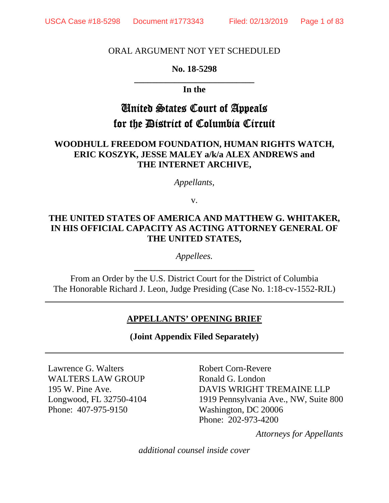## ORAL ARGUMENT NOT YET SCHEDULED

# **No. 18-5298 \_\_\_\_\_\_\_\_\_\_\_\_\_\_\_\_\_\_\_\_\_\_\_\_\_\_\_**

## **In the**

# United States Court of Appeals for the District of Columbia Circuit

# **WOODHULL FREEDOM FOUNDATION, HUMAN RIGHTS WATCH, ERIC KOSZYK, JESSE MALEY a/k/a ALEX ANDREWS and THE INTERNET ARCHIVE,**

*Appellants,* 

v.

# **THE UNITED STATES OF AMERICA AND MATTHEW G. WHITAKER, IN HIS OFFICIAL CAPACITY AS ACTING ATTORNEY GENERAL OF THE UNITED STATES,**

*Appellees.* **\_\_\_\_\_\_\_\_\_\_\_\_\_\_\_\_\_\_\_\_\_\_\_\_\_\_\_** 

From an Order by the U.S. District Court for the District of Columbia The Honorable Richard J. Leon, Judge Presiding (Case No. 1:18-cv-1552-RJL)

# **APPELLANTS' OPENING BRIEF**

**(Joint Appendix Filed Separately)** 

Lawrence G. Walters WALTERS LAW GROUP 195 W. Pine Ave. Longwood, FL 32750-4104 Phone: 407-975-9150

Robert Corn-Revere Ronald G. London DAVIS WRIGHT TREMAINE LLP 1919 Pennsylvania Ave., NW, Suite 800 Washington, DC 20006 Phone: 202-973-4200

*Attorneys for Appellants*

*additional counsel inside cover*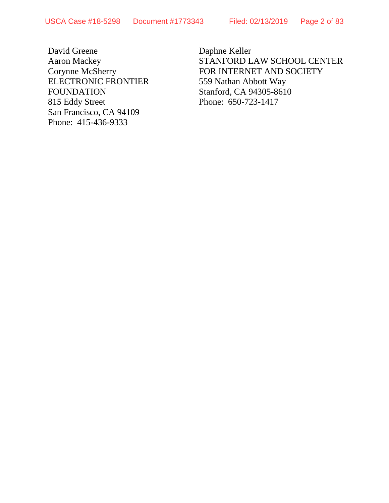David Greene Aaron Mackey Corynne McSherry ELECTRONIC FRONTIER FOUNDATION 815 Eddy Street San Francisco, CA 94109 Phone: 415-436-9333

Daphne Keller STANFORD LAW SCHOOL CENTER FOR INTERNET AND SOCIETY 559 Nathan Abbott Way Stanford, CA 94305-8610 Phone: 650-723-1417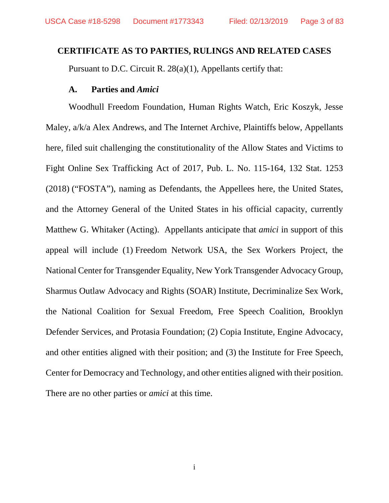### **CERTIFICATE AS TO PARTIES, RULINGS AND RELATED CASES**

Pursuant to D.C. Circuit R. 28(a)(1), Appellants certify that:

#### **A. Parties and** *Amici*

Woodhull Freedom Foundation, Human Rights Watch, Eric Koszyk, Jesse Maley, a/k/a Alex Andrews, and The Internet Archive, Plaintiffs below, Appellants here, filed suit challenging the constitutionality of the Allow States and Victims to Fight Online Sex Trafficking Act of 2017, Pub. L. No. 115-164, 132 Stat. 1253 (2018) ("FOSTA"), naming as Defendants, the Appellees here, the United States, and the Attorney General of the United States in his official capacity, currently Matthew G. Whitaker (Acting). Appellants anticipate that *amici* in support of this appeal will include (1) Freedom Network USA, the Sex Workers Project, the National Center for Transgender Equality, New York Transgender Advocacy Group, Sharmus Outlaw Advocacy and Rights (SOAR) Institute, Decriminalize Sex Work, the National Coalition for Sexual Freedom, Free Speech Coalition, Brooklyn Defender Services, and Protasia Foundation; (2) Copia Institute, Engine Advocacy, and other entities aligned with their position; and (3) the Institute for Free Speech, Center for Democracy and Technology, and other entities aligned with their position. There are no other parties or *amici* at this time.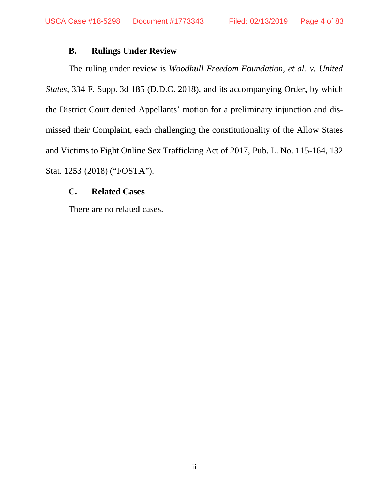# **B. Rulings Under Review**

The ruling under review is *Woodhull Freedom Foundation, et al. v. United States*, 334 F. Supp. 3d 185 (D.D.C. 2018), and its accompanying Order, by which the District Court denied Appellants' motion for a preliminary injunction and dismissed their Complaint, each challenging the constitutionality of the Allow States and Victims to Fight Online Sex Trafficking Act of 2017, Pub. L. No. 115-164, 132 Stat. 1253 (2018) ("FOSTA").

# **C. Related Cases**

There are no related cases.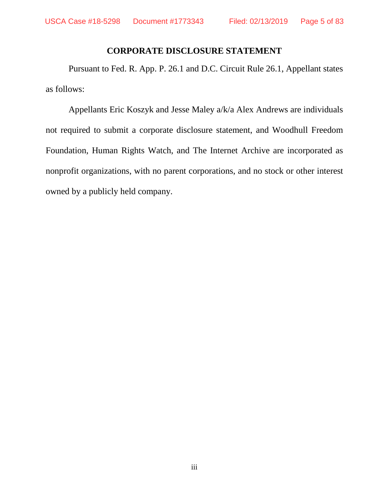# **CORPORATE DISCLOSURE STATEMENT**

Pursuant to Fed. R. App. P. 26.1 and D.C. Circuit Rule 26.1, Appellant states as follows:

Appellants Eric Koszyk and Jesse Maley a/k/a Alex Andrews are individuals not required to submit a corporate disclosure statement, and Woodhull Freedom Foundation, Human Rights Watch, and The Internet Archive are incorporated as nonprofit organizations, with no parent corporations, and no stock or other interest owned by a publicly held company.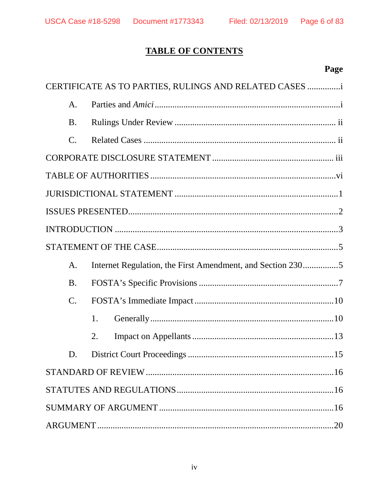# **TABLE OF CONTENTS**

# Page

|  |                 | CERTIFICATE AS TO PARTIES, RULINGS AND RELATED CASES       |  |  |
|--|-----------------|------------------------------------------------------------|--|--|
|  | A <sub>1</sub>  |                                                            |  |  |
|  | <b>B.</b>       |                                                            |  |  |
|  | $\mathcal{C}$ . |                                                            |  |  |
|  |                 |                                                            |  |  |
|  |                 |                                                            |  |  |
|  |                 |                                                            |  |  |
|  |                 |                                                            |  |  |
|  |                 |                                                            |  |  |
|  |                 |                                                            |  |  |
|  | A.              | Internet Regulation, the First Amendment, and Section 2305 |  |  |
|  | <b>B.</b>       |                                                            |  |  |
|  | $\mathcal{C}$ . |                                                            |  |  |
|  |                 | 1.                                                         |  |  |
|  |                 | 2.                                                         |  |  |
|  | D.              |                                                            |  |  |
|  |                 |                                                            |  |  |
|  |                 |                                                            |  |  |
|  |                 |                                                            |  |  |
|  |                 |                                                            |  |  |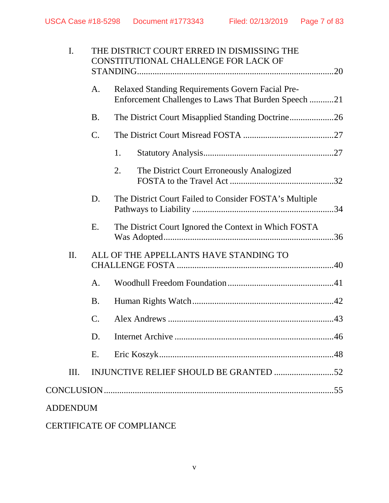|                                               | I. |                 | THE DISTRICT COURT ERRED IN DISMISSING THE<br>CONSTITUTIONAL CHALLENGE FOR LACK OF                              |  |
|-----------------------------------------------|----|-----------------|-----------------------------------------------------------------------------------------------------------------|--|
|                                               |    | A.              | <b>Relaxed Standing Requirements Govern Facial Pre-</b><br>Enforcement Challenges to Laws That Burden Speech 21 |  |
|                                               |    | <b>B.</b>       | The District Court Misapplied Standing Doctrine26                                                               |  |
|                                               |    | C.              |                                                                                                                 |  |
|                                               |    |                 | 1.                                                                                                              |  |
|                                               |    |                 | The District Court Erroneously Analogized<br>2.                                                                 |  |
|                                               |    | D.              | The District Court Failed to Consider FOSTA's Multiple                                                          |  |
|                                               |    | Ε.              | The District Court Ignored the Context in Which FOSTA                                                           |  |
| ALL OF THE APPELLANTS HAVE STANDING TO<br>II. |    |                 |                                                                                                                 |  |
|                                               |    | A.              |                                                                                                                 |  |
|                                               |    | <b>B.</b>       |                                                                                                                 |  |
|                                               |    | $\mathcal{C}$ . |                                                                                                                 |  |
|                                               |    | D.              |                                                                                                                 |  |
|                                               |    | Ε.              |                                                                                                                 |  |
|                                               | Ш. |                 |                                                                                                                 |  |
|                                               |    |                 |                                                                                                                 |  |
| <b>ADDENDUM</b>                               |    |                 |                                                                                                                 |  |
|                                               |    |                 |                                                                                                                 |  |

# CERTIFICATE OF COMPLIANCE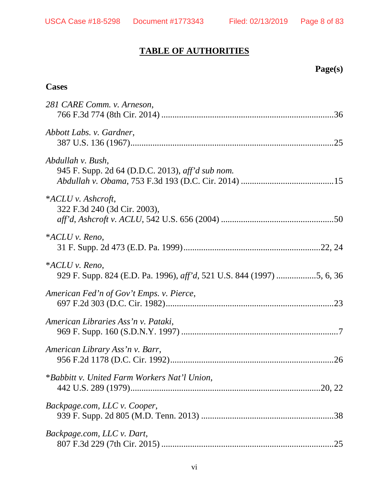# **TABLE OF AUTHORITIES**

# **Page(s)**

# **Cases**

| 281 CARE Comm. v. Arneson,                                            |
|-----------------------------------------------------------------------|
| Abbott Labs. v. Gardner,                                              |
| Abdullah v. Bush,<br>945 F. Supp. 2d 64 (D.D.C. 2013), aff'd sub nom. |
| * $ACLU$ v. Ashcroft,<br>322 F.3d 240 (3d Cir. 2003),                 |
| $*ACLU$ v. Reno,                                                      |
| *ACLU v. Reno,                                                        |
| American Fed'n of Gov't Emps. v. Pierce,                              |
| American Libraries Ass'n v. Pataki,                                   |
| American Library Ass'n v. Barr,                                       |
| *Babbitt v. United Farm Workers Nat'l Union,                          |
| Backpage.com, LLC v. Cooper,                                          |
| Backpage.com, LLC v. Dart,                                            |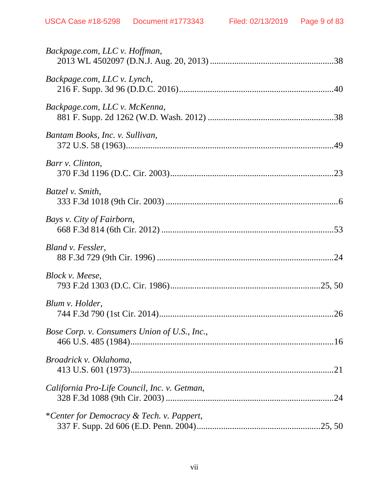| Backpage.com, LLC v. Hoffman,                |
|----------------------------------------------|
| Backpage.com, LLC v. Lynch,                  |
| Backpage.com, LLC v. McKenna,                |
| Bantam Books, Inc. v. Sullivan,              |
| Barr v. Clinton,                             |
| Batzel v. Smith,                             |
| Bays v. City of Fairborn,                    |
| Bland v. Fessler,                            |
| Block v. Meese,                              |
| Blum v. Holder,                              |
| Bose Corp. v. Consumers Union of U.S., Inc., |
| Broadrick v. Oklahoma,                       |
| California Pro-Life Council, Inc. v. Getman, |
| *Center for Democracy & Tech. v. Pappert,    |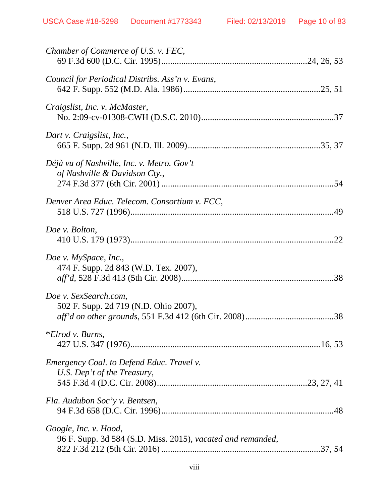| Chamber of Commerce of U.S. v. FEC,                                                  |
|--------------------------------------------------------------------------------------|
| Council for Periodical Distribs. Ass'n v. Evans,                                     |
| Craigslist, Inc. v. McMaster,                                                        |
| Dart v. Craigslist, Inc.,                                                            |
| Déjà vu of Nashville, Inc. v. Metro. Gov't<br>of Nashville & Davidson Cty.,          |
| Denver Area Educ. Telecom. Consortium v. FCC,                                        |
| Doe v. Bolton,                                                                       |
| Doe v. MySpace, Inc.,<br>474 F. Supp. 2d 843 (W.D. Tex. 2007),                       |
| Doe v. SexSearch.com,<br>502 F. Supp. 2d 719 (N.D. Ohio 2007),                       |
| $*Elrod v. Burns,$                                                                   |
| Emergency Coal. to Defend Educ. Travel v.<br>U.S. Dep't of the Treasury,             |
| Fla. Audubon Soc'y v. Bentsen,                                                       |
| Google, Inc. v. Hood,<br>96 F. Supp. 3d 584 (S.D. Miss. 2015), vacated and remanded, |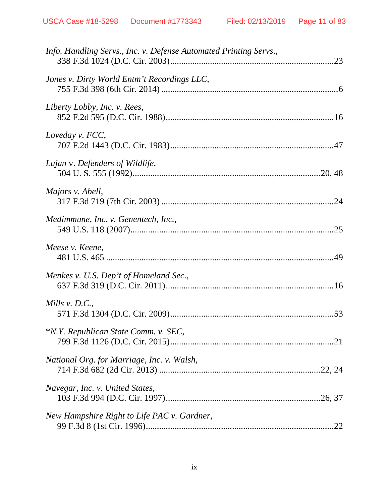| Info. Handling Servs., Inc. v. Defense Automated Printing Servs., |  |
|-------------------------------------------------------------------|--|
| Jones v. Dirty World Entm't Recordings LLC,                       |  |
| Liberty Lobby, Inc. v. Rees,                                      |  |
| Loveday v. FCC,                                                   |  |
| Lujan v. Defenders of Wildlife,                                   |  |
| Majors v. Abell,                                                  |  |
| Medimmune, Inc. v. Genentech, Inc.,                               |  |
| Meese v. Keene,                                                   |  |
| Menkes v. U.S. Dep't of Homeland Sec.,                            |  |
| Mills $v. D.C.,$                                                  |  |
| *N.Y. Republican State Comm. v. SEC,                              |  |
| National Org. for Marriage, Inc. v. Walsh,                        |  |
| Navegar, Inc. v. United States,                                   |  |
| New Hampshire Right to Life PAC v. Gardner,                       |  |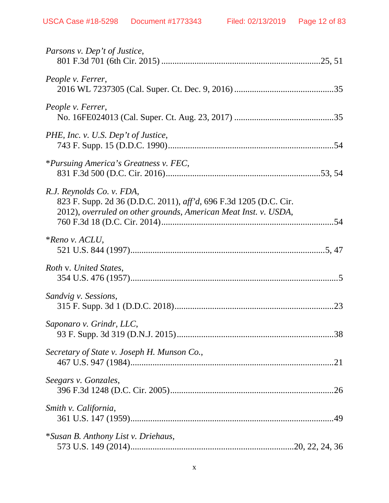| Parsons v. Dep't of Justice,                                                                                                                                      |
|-------------------------------------------------------------------------------------------------------------------------------------------------------------------|
| People v. Ferrer,                                                                                                                                                 |
| People v. Ferrer,                                                                                                                                                 |
| PHE, Inc. v. U.S. Dep't of Justice,                                                                                                                               |
| *Pursuing America's Greatness v. FEC,                                                                                                                             |
| R.J. Reynolds Co. v. FDA,<br>823 F. Supp. 2d 36 (D.D.C. 2011), aff'd, 696 F.3d 1205 (D.C. Cir.<br>2012), overruled on other grounds, American Meat Inst. v. USDA, |
| $*$ Reno v. ACLU,                                                                                                                                                 |
| Roth v. United States,                                                                                                                                            |
| Sandvig v. Sessions,                                                                                                                                              |
| Saponaro v. Grindr, LLC,                                                                                                                                          |
| Secretary of State v. Joseph H. Munson Co.,                                                                                                                       |
| Seegars v. Gonzales,                                                                                                                                              |
| Smith v. California,                                                                                                                                              |
| *Susan B. Anthony List v. Driehaus,                                                                                                                               |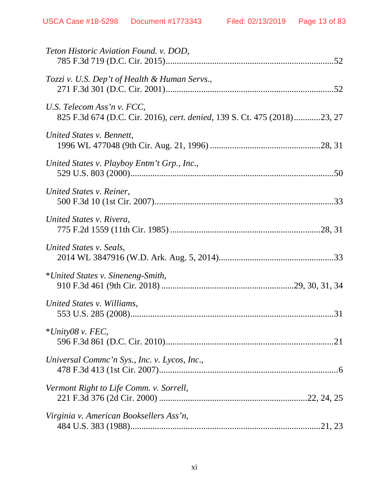| Teton Historic Aviation Found. v. DOD,                                                                 |
|--------------------------------------------------------------------------------------------------------|
| Tozzi v. U.S. Dep't of Health & Human Servs.,                                                          |
| U.S. Telecom Ass'n v. FCC,<br>825 F.3d 674 (D.C. Cir. 2016), cert. denied, 139 S. Ct. 475 (2018)23, 27 |
| United States v. Bennett,                                                                              |
| United States v. Playboy Entm't Grp., Inc.,                                                            |
| United States v. Reiner,                                                                               |
| United States v. Rivera,                                                                               |
| United States v. Seals,                                                                                |
| *United States v. Sineneng-Smith,                                                                      |
| United States v. Williams,                                                                             |
| $*$ <i>Unity08</i> v. FEC,                                                                             |
| Universal Commc'n Sys., Inc. v. Lycos, Inc.,                                                           |
| Vermont Right to Life Comm. v. Sorrell,                                                                |
| Virginia v. American Booksellers Ass'n,                                                                |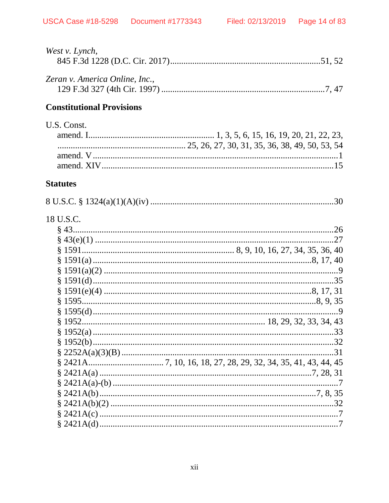| West v. Lynch,                   |  |
|----------------------------------|--|
| Zeran v. America Online, Inc.,   |  |
| <b>Constitutional Provisions</b> |  |
| U.S. Const.                      |  |
|                                  |  |
| <b>Statutes</b>                  |  |
|                                  |  |
| 18 U.S.C.                        |  |
|                                  |  |
|                                  |  |
|                                  |  |
|                                  |  |
|                                  |  |
|                                  |  |
|                                  |  |
|                                  |  |
|                                  |  |
|                                  |  |
|                                  |  |
|                                  |  |
|                                  |  |
|                                  |  |
|                                  |  |
|                                  |  |
|                                  |  |
|                                  |  |
|                                  |  |
|                                  |  |
|                                  |  |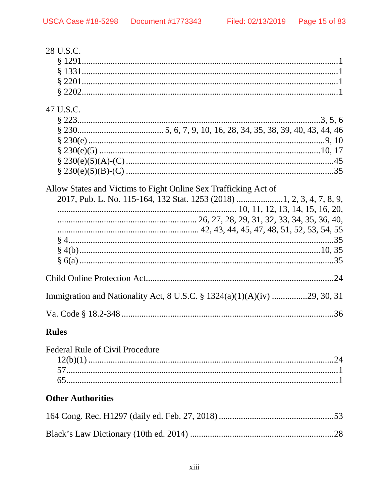| 28 U.S.C.                                                       |  |
|-----------------------------------------------------------------|--|
| 47 U.S.C.                                                       |  |
| Allow States and Victims to Fight Online Sex Trafficking Act of |  |
|                                                                 |  |
|                                                                 |  |
|                                                                 |  |
|                                                                 |  |

## **Rules**

| <b>Federal Rule of Civil Procedure</b> |  |
|----------------------------------------|--|
|                                        |  |
|                                        |  |
|                                        |  |
|                                        |  |

# **Other Authorities**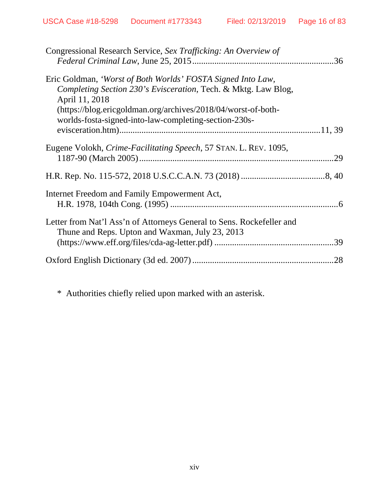| Congressional Research Service, Sex Trafficking: An Overview of                                                          |     |
|--------------------------------------------------------------------------------------------------------------------------|-----|
|                                                                                                                          |     |
| Eric Goldman, 'Worst of Both Worlds' FOSTA Signed Into Law,                                                              |     |
| Completing Section 230's Evisceration, Tech. & Mktg. Law Blog,<br>April 11, 2018                                         |     |
| (https://blog.ericgoldman.org/archives/2018/04/worst-of-both-                                                            |     |
| worlds-fosta-signed-into-law-completing-section-230s-                                                                    |     |
|                                                                                                                          |     |
| Eugene Volokh, Crime-Facilitating Speech, 57 STAN. L. REV. 1095,                                                         |     |
|                                                                                                                          |     |
|                                                                                                                          |     |
| Internet Freedom and Family Empowerment Act,                                                                             |     |
|                                                                                                                          |     |
| Letter from Nat'l Ass'n of Attorneys General to Sens. Rockefeller and<br>Thune and Reps. Upton and Waxman, July 23, 2013 |     |
|                                                                                                                          |     |
|                                                                                                                          | .28 |
|                                                                                                                          |     |

\* Authorities chiefly relied upon marked with an asterisk.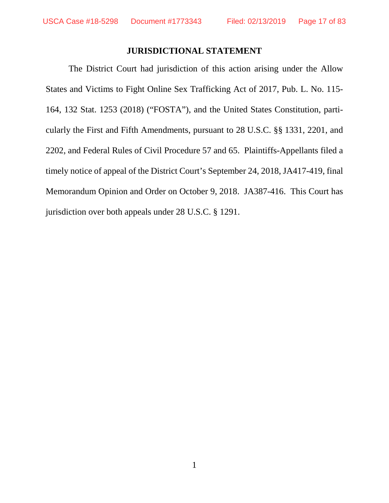# **JURISDICTIONAL STATEMENT**

The District Court had jurisdiction of this action arising under the Allow States and Victims to Fight Online Sex Trafficking Act of 2017, Pub. L. No. 115- 164, 132 Stat. 1253 (2018) ("FOSTA"), and the United States Constitution, particularly the First and Fifth Amendments, pursuant to 28 U.S.C. §§ 1331, 2201, and 2202, and Federal Rules of Civil Procedure 57 and 65. Plaintiffs-Appellants filed a timely notice of appeal of the District Court's September 24, 2018, JA417-419, final Memorandum Opinion and Order on October 9, 2018. JA387-416. This Court has jurisdiction over both appeals under 28 U.S.C. § 1291.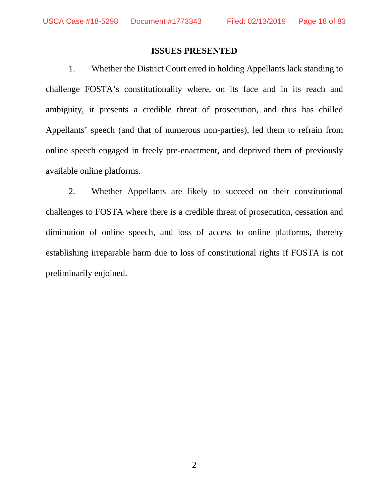#### **ISSUES PRESENTED**

1. Whether the District Court erred in holding Appellants lack standing to challenge FOSTA's constitutionality where, on its face and in its reach and ambiguity, it presents a credible threat of prosecution, and thus has chilled Appellants' speech (and that of numerous non-parties), led them to refrain from online speech engaged in freely pre-enactment, and deprived them of previously available online platforms.

2. Whether Appellants are likely to succeed on their constitutional challenges to FOSTA where there is a credible threat of prosecution, cessation and diminution of online speech, and loss of access to online platforms, thereby establishing irreparable harm due to loss of constitutional rights if FOSTA is not preliminarily enjoined.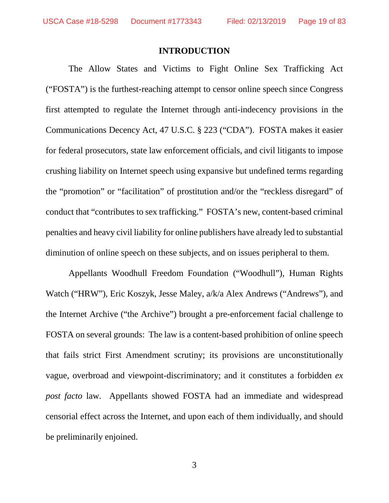#### **INTRODUCTION**

The Allow States and Victims to Fight Online Sex Trafficking Act ("FOSTA") is the furthest-reaching attempt to censor online speech since Congress first attempted to regulate the Internet through anti-indecency provisions in the Communications Decency Act, 47 U.S.C. § 223 ("CDA"). FOSTA makes it easier for federal prosecutors, state law enforcement officials, and civil litigants to impose crushing liability on Internet speech using expansive but undefined terms regarding the "promotion" or "facilitation" of prostitution and/or the "reckless disregard" of conduct that "contributes to sex trafficking." FOSTA's new, content-based criminal penalties and heavy civil liability for online publishers have already led to substantial diminution of online speech on these subjects, and on issues peripheral to them.

Appellants Woodhull Freedom Foundation ("Woodhull"), Human Rights Watch ("HRW"), Eric Koszyk, Jesse Maley, a/k/a Alex Andrews ("Andrews"), and the Internet Archive ("the Archive") brought a pre-enforcement facial challenge to FOSTA on several grounds: The law is a content-based prohibition of online speech that fails strict First Amendment scrutiny; its provisions are unconstitutionally vague, overbroad and viewpoint-discriminatory; and it constitutes a forbidden *ex post facto* law. Appellants showed FOSTA had an immediate and widespread censorial effect across the Internet, and upon each of them individually, and should be preliminarily enjoined.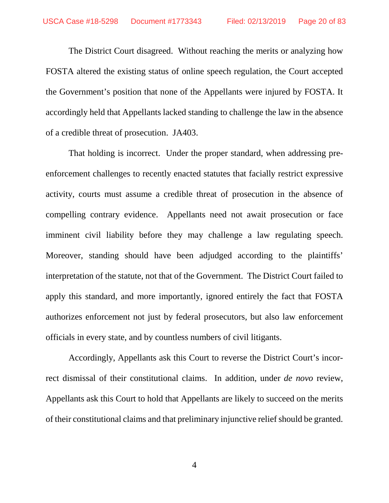The District Court disagreed. Without reaching the merits or analyzing how FOSTA altered the existing status of online speech regulation, the Court accepted the Government's position that none of the Appellants were injured by FOSTA. It accordingly held that Appellants lacked standing to challenge the law in the absence of a credible threat of prosecution. JA403.

That holding is incorrect. Under the proper standard, when addressing preenforcement challenges to recently enacted statutes that facially restrict expressive activity, courts must assume a credible threat of prosecution in the absence of compelling contrary evidence. Appellants need not await prosecution or face imminent civil liability before they may challenge a law regulating speech. Moreover, standing should have been adjudged according to the plaintiffs' interpretation of the statute, not that of the Government. The District Court failed to apply this standard, and more importantly, ignored entirely the fact that FOSTA authorizes enforcement not just by federal prosecutors, but also law enforcement officials in every state, and by countless numbers of civil litigants.

Accordingly, Appellants ask this Court to reverse the District Court's incorrect dismissal of their constitutional claims. In addition, under *de novo* review, Appellants ask this Court to hold that Appellants are likely to succeed on the merits of their constitutional claims and that preliminary injunctive relief should be granted.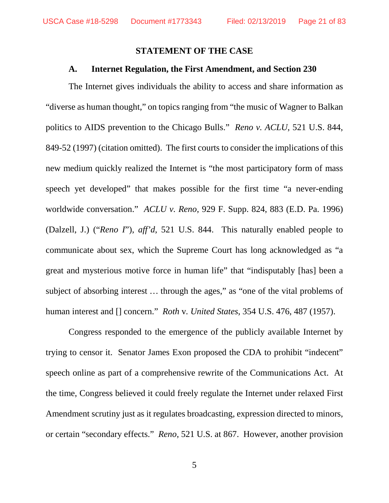#### **STATEMENT OF THE CASE**

#### **A. Internet Regulation, the First Amendment, and Section 230**

The Internet gives individuals the ability to access and share information as "diverse as human thought," on topics ranging from "the music of Wagner to Balkan politics to AIDS prevention to the Chicago Bulls." *Reno v. ACLU*, 521 U.S. 844, 849-52 (1997) (citation omitted). The first courts to consider the implications of this new medium quickly realized the Internet is "the most participatory form of mass speech yet developed" that makes possible for the first time "a never-ending worldwide conversation." *ACLU v. Reno*, 929 F. Supp. 824, 883 (E.D. Pa. 1996) (Dalzell, J.) ("*Reno I*"), *aff'd*, 521 U.S. 844. This naturally enabled people to communicate about sex, which the Supreme Court has long acknowledged as "a great and mysterious motive force in human life" that "indisputably [has] been a subject of absorbing interest … through the ages," as "one of the vital problems of human interest and [] concern." *Roth* v*. United States*, 354 U.S. 476, 487 (1957).

Congress responded to the emergence of the publicly available Internet by trying to censor it. Senator James Exon proposed the CDA to prohibit "indecent" speech online as part of a comprehensive rewrite of the Communications Act. At the time, Congress believed it could freely regulate the Internet under relaxed First Amendment scrutiny just as it regulates broadcasting, expression directed to minors, or certain "secondary effects." *Reno*, 521 U.S. at 867. However, another provision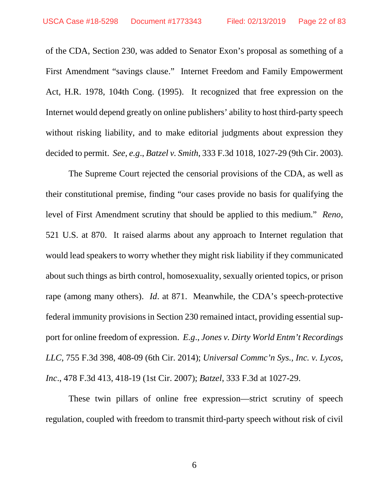of the CDA, Section 230, was added to Senator Exon's proposal as something of a First Amendment "savings clause." Internet Freedom and Family Empowerment Act, H.R. 1978, 104th Cong. (1995). It recognized that free expression on the Internet would depend greatly on online publishers' ability to host third-party speech without risking liability, and to make editorial judgments about expression they decided to permit. *See*, *e.g*., *Batzel v. Smith*, 333 F.3d 1018, 1027-29 (9th Cir. 2003).

The Supreme Court rejected the censorial provisions of the CDA, as well as their constitutional premise, finding "our cases provide no basis for qualifying the level of First Amendment scrutiny that should be applied to this medium." *Reno*, 521 U.S. at 870. It raised alarms about any approach to Internet regulation that would lead speakers to worry whether they might risk liability if they communicated about such things as birth control, homosexuality, sexually oriented topics, or prison rape (among many others). *Id*. at 871. Meanwhile, the CDA's speech-protective federal immunity provisions in Section 230 remained intact, providing essential support for online freedom of expression. *E.g*., *Jones v. Dirty World Entm't Recordings LLC*, 755 F.3d 398, 408-09 (6th Cir. 2014); *Universal Commc'n Sys., Inc. v. Lycos, Inc*., 478 F.3d 413, 418-19 (1st Cir. 2007); *Batzel*, 333 F.3d at 1027-29.

These twin pillars of online free expression—strict scrutiny of speech regulation, coupled with freedom to transmit third-party speech without risk of civil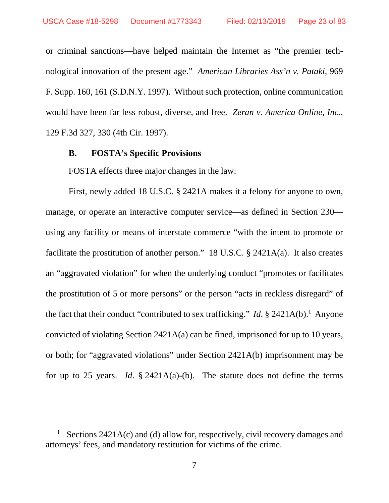or criminal sanctions—have helped maintain the Internet as "the premier technological innovation of the present age." *American Libraries Ass'n v. Pataki*, 969 F. Supp. 160, 161 (S.D.N.Y. 1997). Without such protection, online communication would have been far less robust, diverse, and free. *Zeran v. America Online, Inc.*, 129 F.3d 327, 330 (4th Cir. 1997).

#### **B. FOSTA's Specific Provisions**

FOSTA effects three major changes in the law:

First, newly added 18 U.S.C. § 2421A makes it a felony for anyone to own, manage, or operate an interactive computer service—as defined in Section 230 using any facility or means of interstate commerce "with the intent to promote or facilitate the prostitution of another person." 18 U.S.C. § 2421A(a). It also creates an "aggravated violation" for when the underlying conduct "promotes or facilitates the prostitution of 5 or more persons" or the person "acts in reckless disregard" of the fact that their conduct "contributed to sex trafficking." *Id*. § 2421A(b).<sup>1</sup> Anyone convicted of violating Section 2421A(a) can be fined, imprisoned for up to 10 years, or both; for "aggravated violations" under Section 2421A(b) imprisonment may be for up to 25 years. *Id*. § 2421A(a)-(b). The statute does not define the terms

<sup>1</sup> Sections 2421A(c) and (d) allow for, respectively, civil recovery damages and attorneys' fees, and mandatory restitution for victims of the crime.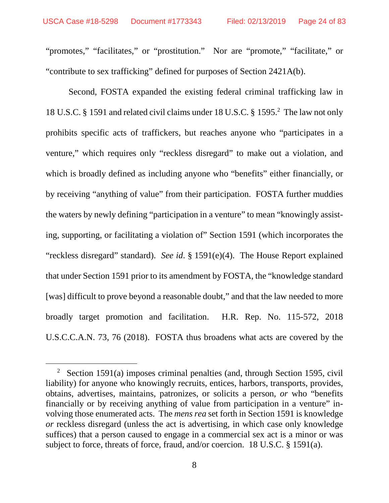"promotes," "facilitates," or "prostitution." Nor are "promote," "facilitate," or "contribute to sex trafficking" defined for purposes of Section 2421A(b).

Second, FOSTA expanded the existing federal criminal trafficking law in 18 U.S.C. § 1591 and related civil claims under 18 U.S.C. § 1595.<sup>2</sup> The law not only prohibits specific acts of traffickers, but reaches anyone who "participates in a venture," which requires only "reckless disregard" to make out a violation, and which is broadly defined as including anyone who "benefits" either financially, or by receiving "anything of value" from their participation. FOSTA further muddies the waters by newly defining "participation in a venture" to mean "knowingly assisting, supporting, or facilitating a violation of" Section 1591 (which incorporates the "reckless disregard" standard). *See id*. § 1591(e)(4). The House Report explained that under Section 1591 prior to its amendment by FOSTA, the "knowledge standard [was] difficult to prove beyond a reasonable doubt," and that the law needed to more broadly target promotion and facilitation. H.R. Rep. No. 115-572, 2018 U.S.C.C.A.N. 73, 76 (2018). FOSTA thus broadens what acts are covered by the

<sup>&</sup>lt;sup>2</sup> Section 1591(a) imposes criminal penalties (and, through Section 1595, civil liability) for anyone who knowingly recruits, entices, harbors, transports, provides, obtains, advertises, maintains, patronizes, or solicits a person, *or* who "benefits financially or by receiving anything of value from participation in a venture" involving those enumerated acts. The *mens rea* set forth in Section 1591 is knowledge *or* reckless disregard (unless the act is advertising, in which case only knowledge suffices) that a person caused to engage in a commercial sex act is a minor or was subject to force, threats of force, fraud, and/or coercion. 18 U.S.C. § 1591(a).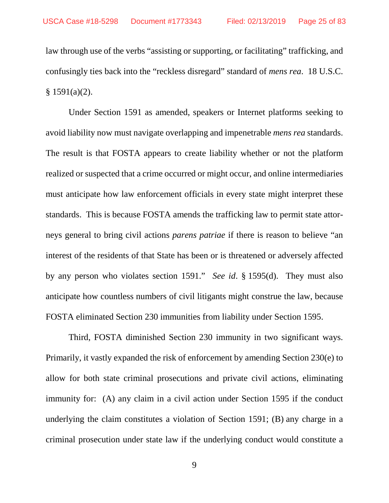law through use of the verbs "assisting or supporting, or facilitating" trafficking, and confusingly ties back into the "reckless disregard" standard of *mens rea*. 18 U.S.C.  $§ 1591(a)(2).$ 

Under Section 1591 as amended, speakers or Internet platforms seeking to avoid liability now must navigate overlapping and impenetrable *mens rea* standards. The result is that FOSTA appears to create liability whether or not the platform realized or suspected that a crime occurred or might occur, and online intermediaries must anticipate how law enforcement officials in every state might interpret these standards. This is because FOSTA amends the trafficking law to permit state attorneys general to bring civil actions *parens patriae* if there is reason to believe "an interest of the residents of that State has been or is threatened or adversely affected by any person who violates section 1591." *See id*. § 1595(d). They must also anticipate how countless numbers of civil litigants might construe the law, because FOSTA eliminated Section 230 immunities from liability under Section 1595.

Third, FOSTA diminished Section 230 immunity in two significant ways. Primarily, it vastly expanded the risk of enforcement by amending Section 230(e) to allow for both state criminal prosecutions and private civil actions, eliminating immunity for: (A) any claim in a civil action under Section 1595 if the conduct underlying the claim constitutes a violation of Section 1591; (B) any charge in a criminal prosecution under state law if the underlying conduct would constitute a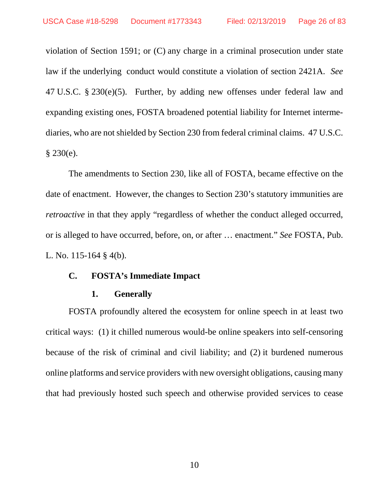violation of Section 1591; or (C) any charge in a criminal prosecution under state law if the underlying conduct would constitute a violation of section 2421A. *See* 47 U.S.C. § 230(e)(5). Further, by adding new offenses under federal law and expanding existing ones, FOSTA broadened potential liability for Internet intermediaries, who are not shielded by Section 230 from federal criminal claims. 47 U.S.C.  $§ 230(e).$ 

The amendments to Section 230, like all of FOSTA, became effective on the date of enactment. However, the changes to Section 230's statutory immunities are *retroactive* in that they apply "regardless of whether the conduct alleged occurred, or is alleged to have occurred, before, on, or after … enactment." *See* FOSTA, Pub. L. No. 115-164 § 4(b).

#### **C. FOSTA's Immediate Impact**

#### **1. Generally**

FOSTA profoundly altered the ecosystem for online speech in at least two critical ways: (1) it chilled numerous would-be online speakers into self-censoring because of the risk of criminal and civil liability; and (2) it burdened numerous online platforms and service providers with new oversight obligations, causing many that had previously hosted such speech and otherwise provided services to cease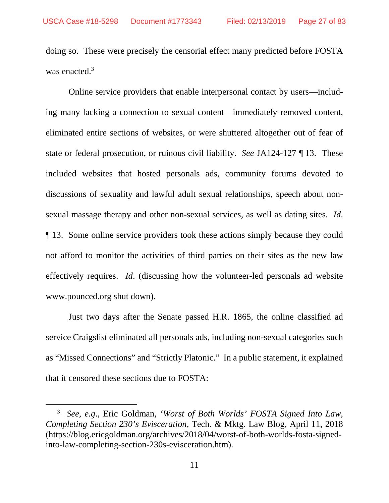doing so. These were precisely the censorial effect many predicted before FOSTA was enacted.<sup>3</sup>

Online service providers that enable interpersonal contact by users—including many lacking a connection to sexual content—immediately removed content, eliminated entire sections of websites, or were shuttered altogether out of fear of state or federal prosecution, or ruinous civil liability. *See* JA124-127 ¶ 13. These included websites that hosted personals ads, community forums devoted to discussions of sexuality and lawful adult sexual relationships, speech about nonsexual massage therapy and other non-sexual services, as well as dating sites. *Id*. ¶ 13. Some online service providers took these actions simply because they could not afford to monitor the activities of third parties on their sites as the new law effectively requires. *Id*. (discussing how the volunteer-led personals ad website www.pounced.org shut down).

Just two days after the Senate passed H.R. 1865, the online classified ad service Craigslist eliminated all personals ads, including non-sexual categories such as "Missed Connections" and "Strictly Platonic." In a public statement, it explained that it censored these sections due to FOSTA:

<sup>3</sup> *See*, *e.g*., Eric Goldman, *'Worst of Both Worlds' FOSTA Signed Into Law, Completing Section 230's Evisceration*, Tech. & Mktg. Law Blog, April 11, 2018 (https://blog.ericgoldman.org/archives/2018/04/worst-of-both-worlds-fosta-signedinto-law-completing-section-230s-evisceration.htm).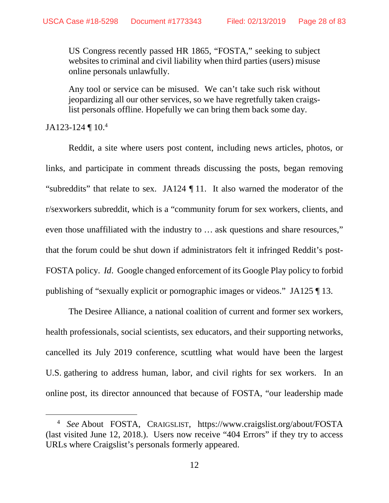US Congress recently passed HR 1865, "FOSTA," seeking to subject websites to criminal and civil liability when third parties (users) misuse online personals unlawfully.

Any tool or service can be misused. We can't take such risk without jeopardizing all our other services, so we have regretfully taken craigslist personals offline. Hopefully we can bring them back some day.

JA123-124  $\P$  10.<sup>4</sup>

Reddit, a site where users post content, including news articles, photos, or links, and participate in comment threads discussing the posts, began removing "subreddits" that relate to sex. JA124 ¶ 11. It also warned the moderator of the r/sexworkers subreddit, which is a "community forum for sex workers, clients, and even those unaffiliated with the industry to … ask questions and share resources," that the forum could be shut down if administrators felt it infringed Reddit's post-FOSTA policy. *Id*. Google changed enforcement of its Google Play policy to forbid publishing of "sexually explicit or pornographic images or videos." JA125 ¶ 13.

The Desiree Alliance, a national coalition of current and former sex workers, health professionals, social scientists, sex educators, and their supporting networks, cancelled its July 2019 conference, scuttling what would have been the largest U.S. gathering to address human, labor, and civil rights for sex workers. In an online post, its director announced that because of FOSTA, "our leadership made

<sup>4</sup> *See* About FOSTA, CRAIGSLIST, https://www.craigslist.org/about/FOSTA (last visited June 12, 2018.). Users now receive "404 Errors" if they try to access URLs where Craigslist's personals formerly appeared.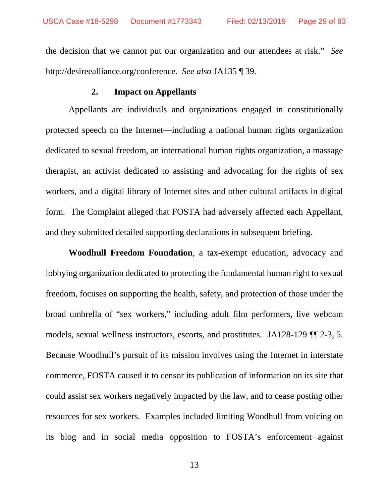the decision that we cannot put our organization and our attendees at risk." *See* http://desireealliance.org/conference. *See also* JA135 ¶ 39.

## **2. Impact on Appellants**

Appellants are individuals and organizations engaged in constitutionally protected speech on the Internet—including a national human rights organization dedicated to sexual freedom, an international human rights organization, a massage therapist, an activist dedicated to assisting and advocating for the rights of sex workers, and a digital library of Internet sites and other cultural artifacts in digital form. The Complaint alleged that FOSTA had adversely affected each Appellant, and they submitted detailed supporting declarations in subsequent briefing.

**Woodhull Freedom Foundation**, a tax-exempt education, advocacy and lobbying organization dedicated to protecting the fundamental human right to sexual freedom, focuses on supporting the health, safety, and protection of those under the broad umbrella of "sex workers," including adult film performers, live webcam models, sexual wellness instructors, escorts, and prostitutes. JA128-129 ¶¶ 2-3, 5. Because Woodhull's pursuit of its mission involves using the Internet in interstate commerce, FOSTA caused it to censor its publication of information on its site that could assist sex workers negatively impacted by the law, and to cease posting other resources for sex workers. Examples included limiting Woodhull from voicing on its blog and in social media opposition to FOSTA's enforcement against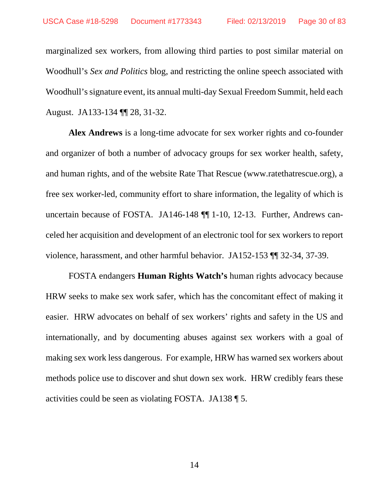marginalized sex workers, from allowing third parties to post similar material on Woodhull's *Sex and Politics* blog, and restricting the online speech associated with Woodhull's signature event, its annual multi-day Sexual Freedom Summit, held each August. JA133-134 ¶¶ 28, 31-32.

**Alex Andrews** is a long-time advocate for sex worker rights and co-founder and organizer of both a number of advocacy groups for sex worker health, safety, and human rights, and of the website Rate That Rescue (www.ratethatrescue.org), a free sex worker-led, community effort to share information, the legality of which is uncertain because of FOSTA. JA146-148 ¶¶ 1-10, 12-13. Further, Andrews canceled her acquisition and development of an electronic tool for sex workers to report violence, harassment, and other harmful behavior. JA152-153 ¶¶ 32-34, 37-39.

FOSTA endangers **Human Rights Watch's** human rights advocacy because HRW seeks to make sex work safer, which has the concomitant effect of making it easier. HRW advocates on behalf of sex workers' rights and safety in the US and internationally, and by documenting abuses against sex workers with a goal of making sex work less dangerous. For example, HRW has warned sex workers about methods police use to discover and shut down sex work. HRW credibly fears these activities could be seen as violating FOSTA. JA138 ¶ 5.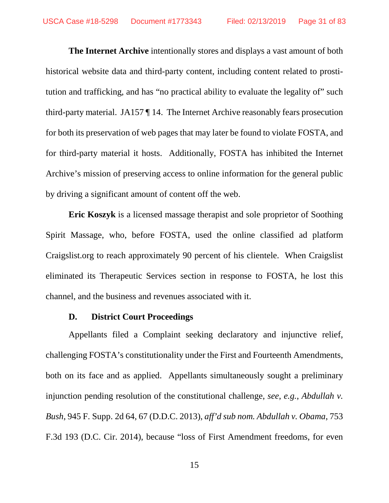**The Internet Archive** intentionally stores and displays a vast amount of both historical website data and third-party content, including content related to prostitution and trafficking, and has "no practical ability to evaluate the legality of" such third-party material. JA157 ¶ 14. The Internet Archive reasonably fears prosecution for both its preservation of web pages that may later be found to violate FOSTA, and for third-party material it hosts. Additionally, FOSTA has inhibited the Internet Archive's mission of preserving access to online information for the general public by driving a significant amount of content off the web.

**Eric Koszyk** is a licensed massage therapist and sole proprietor of Soothing Spirit Massage, who, before FOSTA, used the online classified ad platform Craigslist.org to reach approximately 90 percent of his clientele. When Craigslist eliminated its Therapeutic Services section in response to FOSTA, he lost this channel, and the business and revenues associated with it.

### **D. District Court Proceedings**

Appellants filed a Complaint seeking declaratory and injunctive relief, challenging FOSTA's constitutionality under the First and Fourteenth Amendments, both on its face and as applied. Appellants simultaneously sought a preliminary injunction pending resolution of the constitutional challenge, *see*, *e.g.*, *Abdullah v. Bush*, 945 F. Supp. 2d 64, 67 (D.D.C. 2013), *aff'd sub nom. Abdullah v. Obama*, 753 F.3d 193 (D.C. Cir. 2014), because "loss of First Amendment freedoms, for even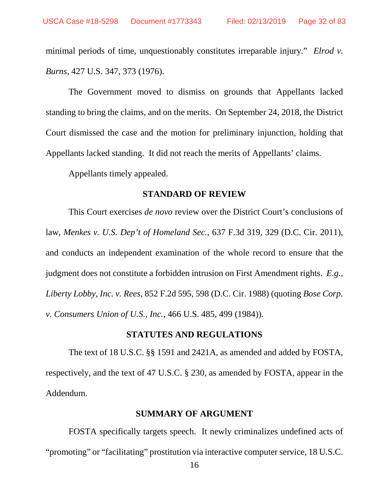minimal periods of time, unquestionably constitutes irreparable injury." *Elrod v. Burns*, 427 U.S. 347, 373 (1976).

The Government moved to dismiss on grounds that Appellants lacked standing to bring the claims, and on the merits. On September 24, 2018, the District Court dismissed the case and the motion for preliminary injunction, holding that Appellants lacked standing. It did not reach the merits of Appellants' claims.

Appellants timely appealed.

#### **STANDARD OF REVIEW**

This Court exercises *de novo* review over the District Court's conclusions of law, *Menkes v. U.S. Dep't of Homeland Sec.*, 637 F.3d 319, 329 (D.C. Cir. 2011), and conducts an independent examination of the whole record to ensure that the judgment does not constitute a forbidden intrusion on First Amendment rights. *E.g.*, *Liberty Lobby, Inc. v. Rees*, 852 F.2d 595, 598 (D.C. Cir. 1988) (quoting *Bose Corp. v. Consumers Union of U.S., Inc.*, 466 U.S. 485, 499 (1984)).

#### **STATUTES AND REGULATIONS**

The text of 18 U.S.C. §§ 1591 and 2421A, as amended and added by FOSTA, respectively, and the text of 47 U.S.C. § 230, as amended by FOSTA, appear in the Addendum.

#### **SUMMARY OF ARGUMENT**

FOSTA specifically targets speech. It newly criminalizes undefined acts of "promoting" or "facilitating" prostitution via interactive computer service, 18 U.S.C.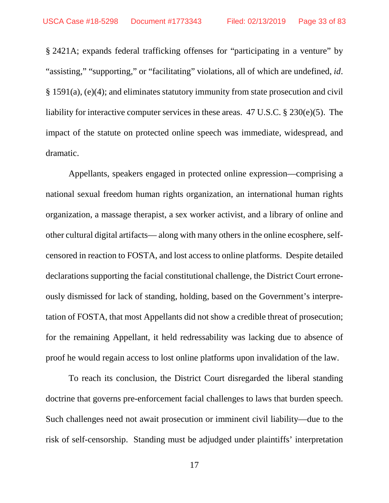§ 2421A; expands federal trafficking offenses for "participating in a venture" by "assisting," "supporting," or "facilitating" violations, all of which are undefined, *id*. § 1591(a), (e)(4); and eliminates statutory immunity from state prosecution and civil liability for interactive computer services in these areas. 47 U.S.C. § 230(e)(5). The impact of the statute on protected online speech was immediate, widespread, and dramatic.

Appellants, speakers engaged in protected online expression—comprising a national sexual freedom human rights organization, an international human rights organization, a massage therapist, a sex worker activist, and a library of online and other cultural digital artifacts— along with many others in the online ecosphere, selfcensored in reaction to FOSTA, and lost access to online platforms. Despite detailed declarations supporting the facial constitutional challenge, the District Court erroneously dismissed for lack of standing, holding, based on the Government's interpretation of FOSTA, that most Appellants did not show a credible threat of prosecution; for the remaining Appellant, it held redressability was lacking due to absence of proof he would regain access to lost online platforms upon invalidation of the law.

To reach its conclusion, the District Court disregarded the liberal standing doctrine that governs pre-enforcement facial challenges to laws that burden speech. Such challenges need not await prosecution or imminent civil liability—due to the risk of self-censorship. Standing must be adjudged under plaintiffs' interpretation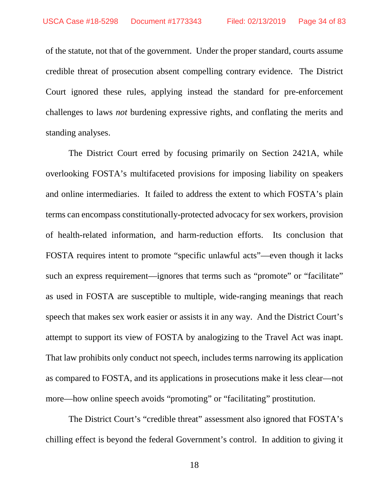of the statute, not that of the government. Under the proper standard, courts assume credible threat of prosecution absent compelling contrary evidence. The District Court ignored these rules, applying instead the standard for pre-enforcement challenges to laws *not* burdening expressive rights, and conflating the merits and standing analyses.

The District Court erred by focusing primarily on Section 2421A, while overlooking FOSTA's multifaceted provisions for imposing liability on speakers and online intermediaries. It failed to address the extent to which FOSTA's plain terms can encompass constitutionally-protected advocacy for sex workers, provision of health-related information, and harm-reduction efforts. Its conclusion that FOSTA requires intent to promote "specific unlawful acts"—even though it lacks such an express requirement—ignores that terms such as "promote" or "facilitate" as used in FOSTA are susceptible to multiple, wide-ranging meanings that reach speech that makes sex work easier or assists it in any way. And the District Court's attempt to support its view of FOSTA by analogizing to the Travel Act was inapt. That law prohibits only conduct not speech, includes terms narrowing its application as compared to FOSTA, and its applications in prosecutions make it less clear—not more—how online speech avoids "promoting" or "facilitating" prostitution.

The District Court's "credible threat" assessment also ignored that FOSTA's chilling effect is beyond the federal Government's control. In addition to giving it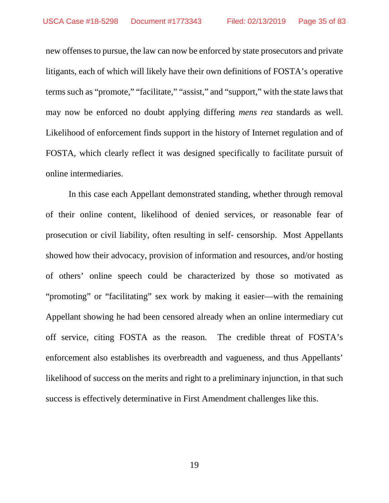new offenses to pursue, the law can now be enforced by state prosecutors and private litigants, each of which will likely have their own definitions of FOSTA's operative terms such as "promote," "facilitate," "assist," and "support," with the state laws that may now be enforced no doubt applying differing *mens rea* standards as well. Likelihood of enforcement finds support in the history of Internet regulation and of FOSTA, which clearly reflect it was designed specifically to facilitate pursuit of online intermediaries.

In this case each Appellant demonstrated standing, whether through removal of their online content, likelihood of denied services, or reasonable fear of prosecution or civil liability, often resulting in self- censorship. Most Appellants showed how their advocacy, provision of information and resources, and/or hosting of others' online speech could be characterized by those so motivated as "promoting" or "facilitating" sex work by making it easier—with the remaining Appellant showing he had been censored already when an online intermediary cut off service, citing FOSTA as the reason. The credible threat of FOSTA's enforcement also establishes its overbreadth and vagueness, and thus Appellants' likelihood of success on the merits and right to a preliminary injunction, in that such success is effectively determinative in First Amendment challenges like this.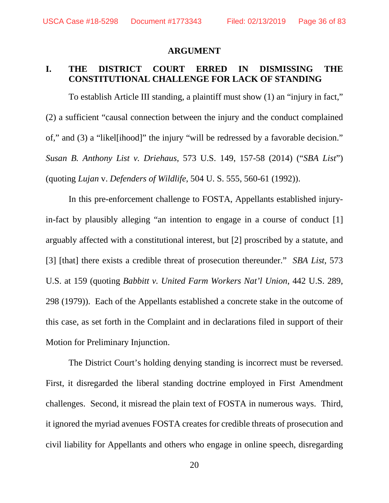#### **ARGUMENT**

# **I. THE DISTRICT COURT ERRED IN DISMISSING THE CONSTITUTIONAL CHALLENGE FOR LACK OF STANDING**

To establish Article III standing, a plaintiff must show (1) an "injury in fact," (2) a sufficient "causal connection between the injury and the conduct complained of," and (3) a "likel[ihood]" the injury "will be redressed by a favorable decision." *Susan B. Anthony List v. Driehaus*, 573 U.S. 149, 157-58 (2014) ("*SBA List*") (quoting *Lujan* v. *Defenders of Wildlife*, 504 U. S. 555, 560-61 (1992)).

In this pre-enforcement challenge to FOSTA, Appellants established injuryin-fact by plausibly alleging "an intention to engage in a course of conduct [1] arguably affected with a constitutional interest, but [2] proscribed by a statute, and [3] [that] there exists a credible threat of prosecution thereunder." *SBA List*, 573 U.S. at 159 (quoting *Babbitt v. United Farm Workers Nat'l Union*, 442 U.S. 289, 298 (1979)). Each of the Appellants established a concrete stake in the outcome of this case, as set forth in the Complaint and in declarations filed in support of their Motion for Preliminary Injunction.

The District Court's holding denying standing is incorrect must be reversed. First, it disregarded the liberal standing doctrine employed in First Amendment challenges. Second, it misread the plain text of FOSTA in numerous ways. Third, it ignored the myriad avenues FOSTA creates for credible threats of prosecution and civil liability for Appellants and others who engage in online speech, disregarding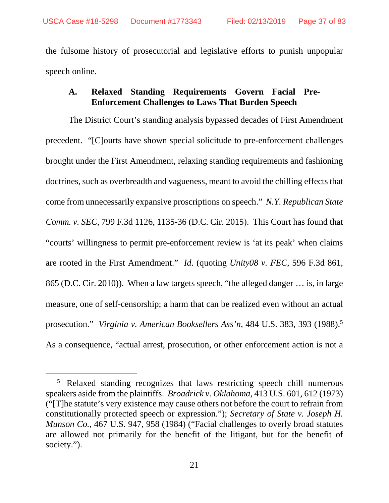the fulsome history of prosecutorial and legislative efforts to punish unpopular speech online.

# **A. Relaxed Standing Requirements Govern Facial Pre-Enforcement Challenges to Laws That Burden Speech**

The District Court's standing analysis bypassed decades of First Amendment precedent. "[C]ourts have shown special solicitude to pre-enforcement challenges brought under the First Amendment, relaxing standing requirements and fashioning doctrines, such as overbreadth and vagueness, meant to avoid the chilling effects that come from unnecessarily expansive proscriptions on speech." *N.Y. Republican State Comm. v. SEC*, 799 F.3d 1126, 1135-36 (D.C. Cir. 2015). This Court has found that "courts' willingness to permit pre-enforcement review is 'at its peak' when claims are rooted in the First Amendment." *Id*. (quoting *Unity08 v. FEC*, 596 F.3d 861, 865 (D.C. Cir. 2010)). When a law targets speech, "the alleged danger … is, in large measure, one of self-censorship; a harm that can be realized even without an actual prosecution." *Virginia v. American Booksellers Ass'n*, 484 U.S. 383, 393 (1988).<sup>5</sup> As a consequence, "actual arrest, prosecution, or other enforcement action is not a

<sup>&</sup>lt;sup>5</sup> Relaxed standing recognizes that laws restricting speech chill numerous speakers aside from the plaintiffs. *Broadrick v. Oklahoma*, 413 U.S. 601, 612 (1973) ("[T]he statute's very existence may cause others not before the court to refrain from constitutionally protected speech or expression."); *Secretary of State v. Joseph H. Munson Co.*, 467 U.S. 947, 958 (1984) ("Facial challenges to overly broad statutes are allowed not primarily for the benefit of the litigant, but for the benefit of society.").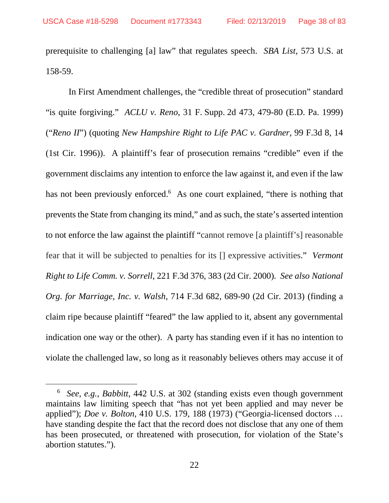prerequisite to challenging [a] law" that regulates speech. *SBA List*, 573 U.S. at 158-59.

In First Amendment challenges, the "credible threat of prosecution" standard "is quite forgiving." *ACLU v. Reno*, 31 F. Supp. 2d 473, 479-80 (E.D. Pa. 1999) ("*Reno II*") (quoting *New Hampshire Right to Life PAC v. Gardner*, 99 F.3d 8, 14 (1st Cir. 1996)). A plaintiff's fear of prosecution remains "credible" even if the government disclaims any intention to enforce the law against it, and even if the law has not been previously enforced.<sup>6</sup> As one court explained, "there is nothing that prevents the State from changing its mind," and as such, the state's asserted intention to not enforce the law against the plaintiff "cannot remove [a plaintiff's] reasonable fear that it will be subjected to penalties for its [] expressive activities." *Vermont Right to Life Comm. v. Sorrell*, 221 F.3d 376, 383 (2d Cir. 2000)*. See also National Org. for Marriage, Inc. v. Walsh*, 714 F.3d 682, 689-90 (2d Cir. 2013) (finding a claim ripe because plaintiff "feared" the law applied to it, absent any governmental indication one way or the other). A party has standing even if it has no intention to violate the challenged law, so long as it reasonably believes others may accuse it of

<sup>6</sup> *See, e.g.*, *Babbitt*, 442 U.S. at 302 (standing exists even though government maintains law limiting speech that "has not yet been applied and may never be applied"); *Doe v. Bolton*, 410 U.S. 179, 188 (1973) ("Georgia-licensed doctors … have standing despite the fact that the record does not disclose that any one of them has been prosecuted, or threatened with prosecution, for violation of the State's abortion statutes.").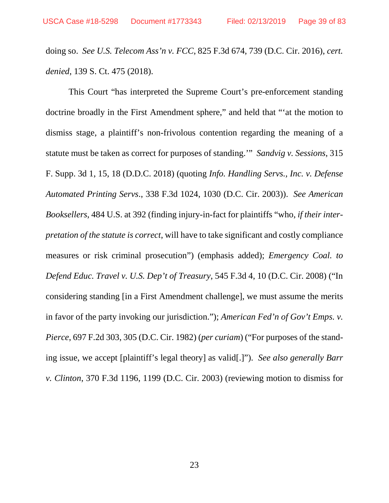doing so. *See U.S. Telecom Ass'n v. FCC*, 825 F.3d 674, 739 (D.C. Cir. 2016), *cert. denied*, 139 S. Ct. 475 (2018).

This Court "has interpreted the Supreme Court's pre-enforcement standing doctrine broadly in the First Amendment sphere," and held that "'at the motion to dismiss stage, a plaintiff's non-frivolous contention regarding the meaning of a statute must be taken as correct for purposes of standing.'" *Sandvig v. Sessions*, 315 F. Supp. 3d 1, 15, 18 (D.D.C. 2018) (quoting *Info. Handling Servs., Inc. v. Defense Automated Printing Servs*., 338 F.3d 1024, 1030 (D.C. Cir. 2003)). *See American Booksellers*, 484 U.S. at 392 (finding injury-in-fact for plaintiffs "who, *if their interpretation of the statute is correct*, will have to take significant and costly compliance measures or risk criminal prosecution") (emphasis added); *Emergency Coal. to Defend Educ. Travel v. U.S. Dep't of Treasury*, 545 F.3d 4, 10 (D.C. Cir. 2008) ("In considering standing [in a First Amendment challenge], we must assume the merits in favor of the party invoking our jurisdiction."); *American Fed'n of Gov't Emps. v. Pierce*, 697 F.2d 303, 305 (D.C. Cir. 1982) (*per curiam*) ("For purposes of the standing issue, we accept [plaintiff's legal theory] as valid[.]"). *See also generally Barr v. Clinton*, 370 F.3d 1196, 1199 (D.C. Cir. 2003) (reviewing motion to dismiss for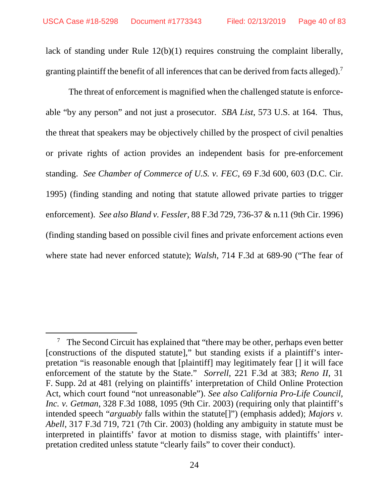lack of standing under Rule 12(b)(1) requires construing the complaint liberally, granting plaintiff the benefit of all inferences that can be derived from facts alleged).<sup>7</sup>

The threat of enforcement is magnified when the challenged statute is enforceable "by any person" and not just a prosecutor. *SBA List*, 573 U.S. at 164. Thus, the threat that speakers may be objectively chilled by the prospect of civil penalties or private rights of action provides an independent basis for pre-enforcement standing. *See Chamber of Commerce of U.S. v. FEC*, 69 F.3d 600, 603 (D.C. Cir. 1995) (finding standing and noting that statute allowed private parties to trigger enforcement). *See also Bland v. Fessler*, 88 F.3d 729, 736-37 & n.11 (9th Cir. 1996) (finding standing based on possible civil fines and private enforcement actions even where state had never enforced statute); *Walsh*, 714 F.3d at 689-90 ("The fear of

<sup>&</sup>lt;sup>7</sup> The Second Circuit has explained that "there may be other, perhaps even better [constructions of the disputed statute]," but standing exists if a plaintiff's interpretation "is reasonable enough that [plaintiff] may legitimately fear [] it will face enforcement of the statute by the State." *Sorrell*, 221 F.3d at 383; *Reno II*, 31 F. Supp. 2d at 481 (relying on plaintiffs' interpretation of Child Online Protection Act, which court found "not unreasonable"). *See also California Pro-Life Council, Inc. v. Getman*, 328 F.3d 1088, 1095 (9th Cir. 2003) (requiring only that plaintiff's intended speech "*arguably* falls within the statute[]") (emphasis added); *Majors v. Abell*, 317 F.3d 719, 721 (7th Cir. 2003) (holding any ambiguity in statute must be interpreted in plaintiffs' favor at motion to dismiss stage, with plaintiffs' interpretation credited unless statute "clearly fails" to cover their conduct).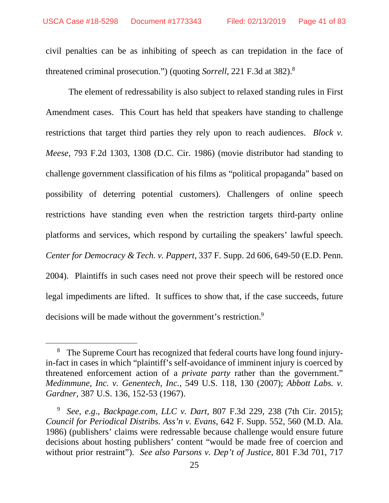civil penalties can be as inhibiting of speech as can trepidation in the face of threatened criminal prosecution.") (quoting *Sorrell*, 221 F.3d at 382).<sup>8</sup>

The element of redressability is also subject to relaxed standing rules in First Amendment cases. This Court has held that speakers have standing to challenge restrictions that target third parties they rely upon to reach audiences. *Block v. Meese*, 793 F.2d 1303, 1308 (D.C. Cir. 1986) (movie distributor had standing to challenge government classification of his films as "political propaganda" based on possibility of deterring potential customers). Challengers of online speech restrictions have standing even when the restriction targets third-party online platforms and services, which respond by curtailing the speakers' lawful speech. *Center for Democracy & Tech. v. Pappert*, 337 F. Supp. 2d 606, 649-50 (E.D. Penn. 2004). Plaintiffs in such cases need not prove their speech will be restored once legal impediments are lifted. It suffices to show that, if the case succeeds, future decisions will be made without the government's restriction.<sup>9</sup>

<sup>&</sup>lt;sup>8</sup> The Supreme Court has recognized that federal courts have long found injuryin-fact in cases in which "plaintiff's self-avoidance of imminent injury is coerced by threatened enforcement action of a *private party* rather than the government." *Medimmune, Inc. v. Genentech, Inc.*, 549 U.S. 118, 130 (2007); *Abbott Labs. v. Gardner*, 387 U.S. 136, 152-53 (1967).

<sup>9</sup> *See*, *e.g*., *Backpage.com, LLC v. Dart*, 807 F.3d 229, 238 (7th Cir. 2015); *Council for Periodical Distribs. Ass'n v. Evans*, 642 F. Supp. 552, 560 (M.D. Ala. 1986) (publishers' claims were redressable because challenge would ensure future decisions about hosting publishers' content "would be made free of coercion and without prior restraint"). *See also Parsons v. Dep't of Justice*, 801 F.3d 701, 717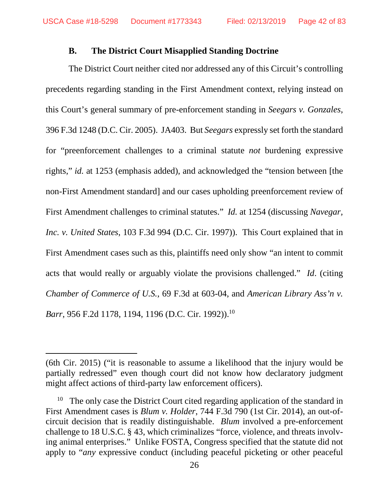### **B. The District Court Misapplied Standing Doctrine**

The District Court neither cited nor addressed any of this Circuit's controlling precedents regarding standing in the First Amendment context, relying instead on this Court's general summary of pre-enforcement standing in *Seegars v. Gonzales*, 396 F.3d 1248 (D.C. Cir. 2005). JA403. But *Seegars* expressly set forth the standard for "preenforcement challenges to a criminal statute *not* burdening expressive rights," *id.* at 1253 (emphasis added), and acknowledged the "tension between [the non-First Amendment standard] and our cases upholding preenforcement review of First Amendment challenges to criminal statutes." *Id.* at 1254 (discussing *Navegar, Inc. v. United States*, 103 F.3d 994 (D.C. Cir. 1997)). This Court explained that in First Amendment cases such as this, plaintiffs need only show "an intent to commit acts that would really or arguably violate the provisions challenged." *Id*. (citing *Chamber of Commerce of U.S.*, 69 F.3d at 603-04, and *American Library Ass'n v. Barr*, 956 F.2d 1178, 1194, 1196 (D.C. Cir. 1992)).<sup>10</sup>

<sup>(6</sup>th Cir. 2015) ("it is reasonable to assume a likelihood that the injury would be partially redressed" even though court did not know how declaratory judgment might affect actions of third-party law enforcement officers).

The only case the District Court cited regarding application of the standard in First Amendment cases is *Blum v. Holder*, 744 F.3d 790 (1st Cir. 2014), an out-ofcircuit decision that is readily distinguishable. *Blum* involved a pre-enforcement challenge to 18 U.S.C. § 43, which criminalizes "force, violence, and threats involving animal enterprises." Unlike FOSTA, Congress specified that the statute did not apply to "*any* expressive conduct (including peaceful picketing or other peaceful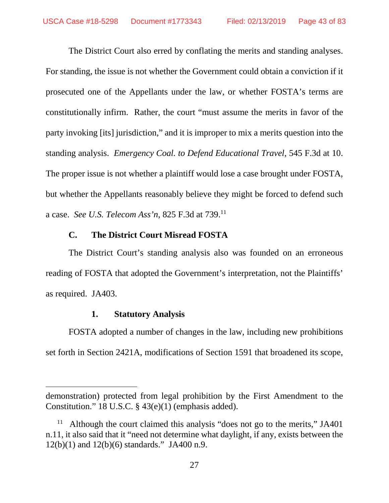The District Court also erred by conflating the merits and standing analyses. For standing, the issue is not whether the Government could obtain a conviction if it prosecuted one of the Appellants under the law, or whether FOSTA's terms are constitutionally infirm. Rather, the court "must assume the merits in favor of the party invoking [its] jurisdiction," and it is improper to mix a merits question into the standing analysis. *Emergency Coal. to Defend Educational Travel*, 545 F.3d at 10. The proper issue is not whether a plaintiff would lose a case brought under FOSTA, but whether the Appellants reasonably believe they might be forced to defend such a case. *See U.S. Telecom Ass'n*, 825 F.3d at 739.<sup>11</sup>

# **C. The District Court Misread FOSTA**

The District Court's standing analysis also was founded on an erroneous reading of FOSTA that adopted the Government's interpretation, not the Plaintiffs' as required. JA403.

# **1. Statutory Analysis**

FOSTA adopted a number of changes in the law, including new prohibitions set forth in Section 2421A, modifications of Section 1591 that broadened its scope,

demonstration) protected from legal prohibition by the First Amendment to the Constitution." 18 U.S.C. § 43(e)(1) (emphasis added).

<sup>&</sup>lt;sup>11</sup> Although the court claimed this analysis "does not go to the merits," JA401 n.11, it also said that it "need not determine what daylight, if any, exists between the  $12(b)(1)$  and  $12(b)(6)$  standards." JA400 n.9.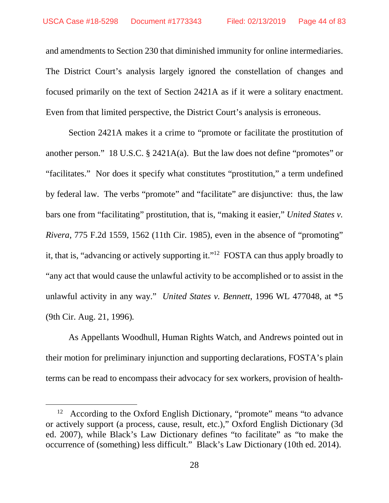and amendments to Section 230 that diminished immunity for online intermediaries. The District Court's analysis largely ignored the constellation of changes and focused primarily on the text of Section 2421A as if it were a solitary enactment. Even from that limited perspective, the District Court's analysis is erroneous.

Section 2421A makes it a crime to "promote or facilitate the prostitution of another person." 18 U.S.C. § 2421A(a). But the law does not define "promotes" or "facilitates." Nor does it specify what constitutes "prostitution," a term undefined by federal law. The verbs "promote" and "facilitate" are disjunctive: thus, the law bars one from "facilitating" prostitution, that is, "making it easier," *United States v. Rivera*, 775 F.2d 1559, 1562 (11th Cir. 1985), even in the absence of "promoting" it, that is, "advancing or actively supporting it."<sup>12</sup> FOSTA can thus apply broadly to "any act that would cause the unlawful activity to be accomplished or to assist in the unlawful activity in any way." *United States v. Bennett*, 1996 WL 477048, at \*5 (9th Cir. Aug. 21, 1996)*.*

As Appellants Woodhull, Human Rights Watch, and Andrews pointed out in their motion for preliminary injunction and supporting declarations, FOSTA's plain terms can be read to encompass their advocacy for sex workers, provision of health-

<sup>&</sup>lt;sup>12</sup> According to the Oxford English Dictionary, "promote" means "to advance or actively support (a process, cause, result, etc.)," Oxford English Dictionary (3d ed. 2007), while Black's Law Dictionary defines "to facilitate" as "to make the occurrence of (something) less difficult." Black's Law Dictionary (10th ed. 2014).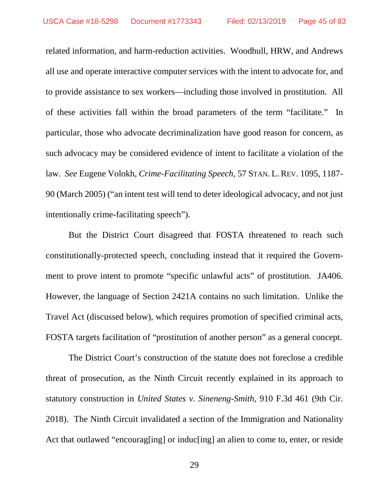related information, and harm-reduction activities. Woodhull, HRW, and Andrews all use and operate interactive computer services with the intent to advocate for, and to provide assistance to sex workers—including those involved in prostitution. All of these activities fall within the broad parameters of the term "facilitate." In particular, those who advocate decriminalization have good reason for concern, as such advocacy may be considered evidence of intent to facilitate a violation of the law. *See* Eugene Volokh, *Crime-Facilitating Speech*, 57 STAN. L. REV. 1095, 1187- 90 (March 2005) ("an intent test will tend to deter ideological advocacy, and not just intentionally crime-facilitating speech").

But the District Court disagreed that FOSTA threatened to reach such constitutionally-protected speech, concluding instead that it required the Government to prove intent to promote "specific unlawful acts" of prostitution. JA406. However, the language of Section 2421A contains no such limitation. Unlike the Travel Act (discussed below), which requires promotion of specified criminal acts, FOSTA targets facilitation of "prostitution of another person" as a general concept.

The District Court's construction of the statute does not foreclose a credible threat of prosecution, as the Ninth Circuit recently explained in its approach to statutory construction in *United States v. Sineneng-Smith*, 910 F.3d 461 (9th Cir. 2018). The Ninth Circuit invalidated a section of the Immigration and Nationality Act that outlawed "encourag[ing] or induc[ing] an alien to come to, enter, or reside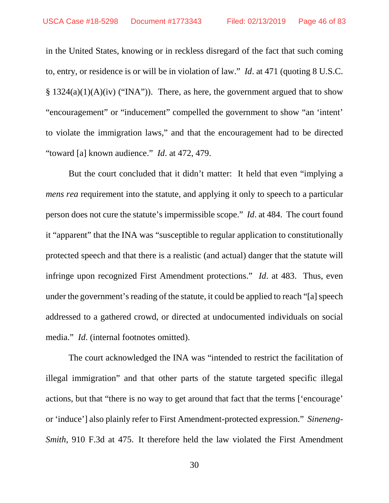in the United States, knowing or in reckless disregard of the fact that such coming to, entry, or residence is or will be in violation of law." *Id*. at 471 (quoting 8 U.S.C.  $§ 1324(a)(1)(A)(iv)$  ("INA")). There, as here, the government argued that to show "encouragement" or "inducement" compelled the government to show "an 'intent' to violate the immigration laws," and that the encouragement had to be directed "toward [a] known audience." *Id*. at 472, 479.

But the court concluded that it didn't matter: It held that even "implying a *mens rea* requirement into the statute, and applying it only to speech to a particular person does not cure the statute's impermissible scope." *Id*. at 484. The court found it "apparent" that the INA was "susceptible to regular application to constitutionally protected speech and that there is a realistic (and actual) danger that the statute will infringe upon recognized First Amendment protections." *Id*. at 483. Thus, even under the government's reading of the statute, it could be applied to reach "[a] speech addressed to a gathered crowd, or directed at undocumented individuals on social media." *Id*. (internal footnotes omitted).

The court acknowledged the INA was "intended to restrict the facilitation of illegal immigration" and that other parts of the statute targeted specific illegal actions, but that "there is no way to get around that fact that the terms ['encourage' or 'induce'] also plainly refer to First Amendment-protected expression." *Sineneng-Smith*, 910 F.3d at 475. It therefore held the law violated the First Amendment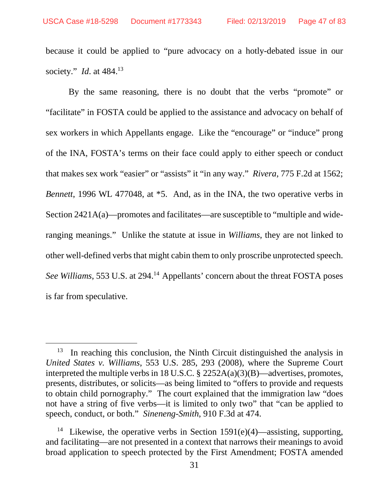because it could be applied to "pure advocacy on a hotly-debated issue in our society." *Id*. at 484.<sup>13</sup>

By the same reasoning, there is no doubt that the verbs "promote" or "facilitate" in FOSTA could be applied to the assistance and advocacy on behalf of sex workers in which Appellants engage. Like the "encourage" or "induce" prong of the INA, FOSTA's terms on their face could apply to either speech or conduct that makes sex work "easier" or "assists" it "in any way." *Rivera*, 775 F.2d at 1562; *Bennett*, 1996 WL 477048, at  $*5$ . And, as in the INA, the two operative verbs in Section 2421A(a)—promotes and facilitates—are susceptible to "multiple and wideranging meanings." Unlike the statute at issue in *Williams*, they are not linked to other well-defined verbs that might cabin them to only proscribe unprotected speech. *See Williams*, 553 U.S. at 294.<sup>14</sup> Appellants' concern about the threat FOSTA poses is far from speculative.

 $13$  In reaching this conclusion, the Ninth Circuit distinguished the analysis in *United States v. Williams*, 553 U.S. 285, 293 (2008), where the Supreme Court interpreted the multiple verbs in 18 U.S.C. § 2252A(a)(3)(B)—advertises, promotes, presents, distributes, or solicits—as being limited to "offers to provide and requests to obtain child pornography." The court explained that the immigration law "does not have a string of five verbs—it is limited to only two" that "can be applied to speech, conduct, or both." *Sineneng-Smith*, 910 F.3d at 474.

<sup>&</sup>lt;sup>14</sup> Likewise, the operative verbs in Section 1591(e)(4)—assisting, supporting, and facilitating—are not presented in a context that narrows their meanings to avoid broad application to speech protected by the First Amendment; FOSTA amended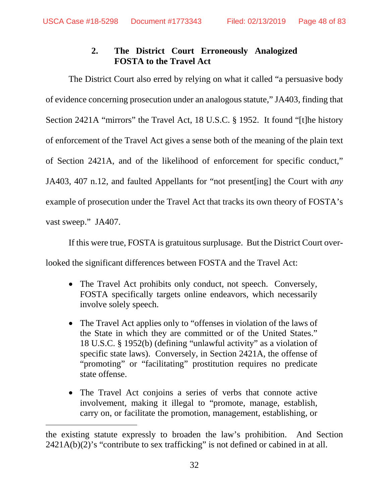# **2. The District Court Erroneously Analogized FOSTA to the Travel Act**

The District Court also erred by relying on what it called "a persuasive body of evidence concerning prosecution under an analogous statute," JA403, finding that Section 2421A "mirrors" the Travel Act, 18 U.S.C. § 1952. It found "[t]he history of enforcement of the Travel Act gives a sense both of the meaning of the plain text of Section 2421A, and of the likelihood of enforcement for specific conduct," JA403, 407 n.12, and faulted Appellants for "not present[ing] the Court with *any* example of prosecution under the Travel Act that tracks its own theory of FOSTA's vast sweep." JA407.

If this were true, FOSTA is gratuitous surplusage. But the District Court over-

looked the significant differences between FOSTA and the Travel Act:

- The Travel Act prohibits only conduct, not speech. Conversely, FOSTA specifically targets online endeavors, which necessarily involve solely speech.
- The Travel Act applies only to "offenses in violation of the laws of the State in which they are committed or of the United States." 18 U.S.C. § 1952(b) (defining "unlawful activity" as a violation of specific state laws). Conversely, in Section 2421A, the offense of "promoting" or "facilitating" prostitution requires no predicate state offense.
- The Travel Act conjoins a series of verbs that connote active involvement, making it illegal to "promote, manage, establish, carry on, or facilitate the promotion, management, establishing, or

the existing statute expressly to broaden the law's prohibition. And Section  $2421A(b)(2)$ 's "contribute to sex trafficking" is not defined or cabined in at all.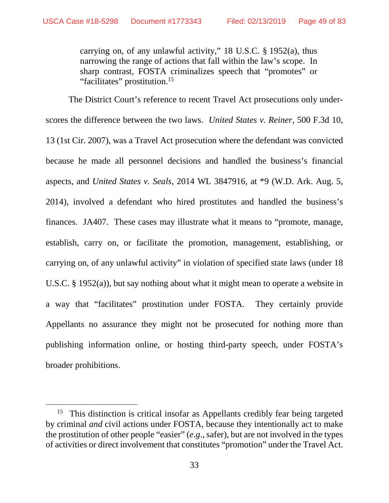carrying on, of any unlawful activity," 18 U.S.C. § 1952(a), thus narrowing the range of actions that fall within the law's scope. In sharp contrast, FOSTA criminalizes speech that "promotes" or "facilitates" prostitution.<sup>15</sup>

The District Court's reference to recent Travel Act prosecutions only underscores the difference between the two laws. *United States v. Reiner*, 500 F.3d 10, 13 (1st Cir. 2007), was a Travel Act prosecution where the defendant was convicted because he made all personnel decisions and handled the business's financial aspects, and *United States v. Seals*, 2014 WL 3847916, at \*9 (W.D. Ark. Aug. 5, 2014), involved a defendant who hired prostitutes and handled the business's finances. JA407. These cases may illustrate what it means to "promote, manage, establish, carry on, or facilitate the promotion, management, establishing, or carrying on, of any unlawful activity" in violation of specified state laws (under 18 U.S.C. § 1952(a)), but say nothing about what it might mean to operate a website in a way that "facilitates" prostitution under FOSTA. They certainly provide Appellants no assurance they might not be prosecuted for nothing more than publishing information online, or hosting third-party speech, under FOSTA's broader prohibitions.

<sup>&</sup>lt;sup>15</sup> This distinction is critical insofar as Appellants credibly fear being targeted by criminal *and* civil actions under FOSTA, because they intentionally act to make the prostitution of other people "easier" (*e.g*., safer), but are not involved in the types of activities or direct involvement that constitutes "promotion" under the Travel Act.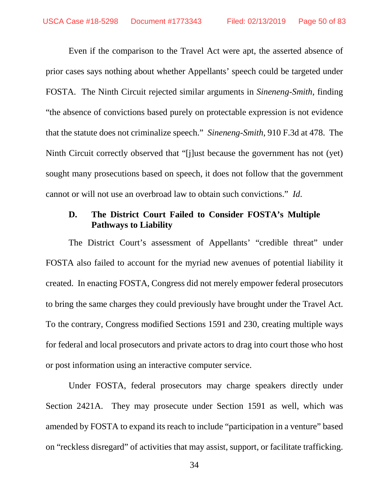Even if the comparison to the Travel Act were apt, the asserted absence of prior cases says nothing about whether Appellants' speech could be targeted under FOSTA. The Ninth Circuit rejected similar arguments in *Sineneng-Smith*, finding "the absence of convictions based purely on protectable expression is not evidence that the statute does not criminalize speech." *Sineneng-Smith*, 910 F.3d at 478. The Ninth Circuit correctly observed that "[j]ust because the government has not (yet) sought many prosecutions based on speech, it does not follow that the government cannot or will not use an overbroad law to obtain such convictions." *Id*.

# **D. The District Court Failed to Consider FOSTA's Multiple Pathways to Liability**

The District Court's assessment of Appellants' "credible threat" under FOSTA also failed to account for the myriad new avenues of potential liability it created. In enacting FOSTA, Congress did not merely empower federal prosecutors to bring the same charges they could previously have brought under the Travel Act. To the contrary, Congress modified Sections 1591 and 230, creating multiple ways for federal and local prosecutors and private actors to drag into court those who host or post information using an interactive computer service.

Under FOSTA, federal prosecutors may charge speakers directly under Section 2421A. They may prosecute under Section 1591 as well, which was amended by FOSTA to expand its reach to include "participation in a venture" based on "reckless disregard" of activities that may assist, support, or facilitate trafficking.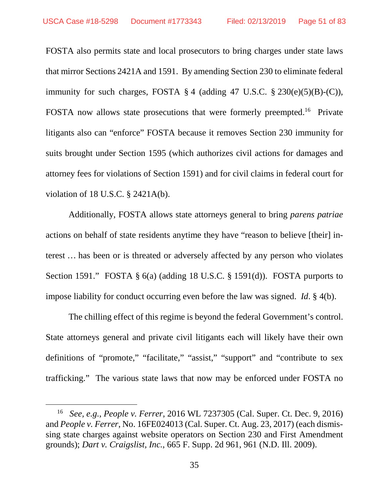FOSTA also permits state and local prosecutors to bring charges under state laws that mirror Sections 2421A and 1591. By amending Section 230 to eliminate federal immunity for such charges, FOSTA  $\S 4$  (adding 47 U.S.C.  $\S 230(e)(5)(B)-(C)$ ), FOSTA now allows state prosecutions that were formerly preempted.<sup>16</sup> Private litigants also can "enforce" FOSTA because it removes Section 230 immunity for suits brought under Section 1595 (which authorizes civil actions for damages and attorney fees for violations of Section 1591) and for civil claims in federal court for violation of 18 U.S.C. § 2421A(b).

Additionally, FOSTA allows state attorneys general to bring *parens patriae* actions on behalf of state residents anytime they have "reason to believe [their] interest … has been or is threated or adversely affected by any person who violates Section 1591." FOSTA § 6(a) (adding 18 U.S.C. § 1591(d)). FOSTA purports to impose liability for conduct occurring even before the law was signed. *Id*. § 4(b).

The chilling effect of this regime is beyond the federal Government's control. State attorneys general and private civil litigants each will likely have their own definitions of "promote," "facilitate," "assist," "support" and "contribute to sex trafficking." The various state laws that now may be enforced under FOSTA no

<sup>16</sup> *See, e.g.*, *People v. Ferrer*, 2016 WL 7237305 (Cal. Super. Ct. Dec. 9, 2016) and *People v. Ferrer*, No. 16FE024013 (Cal. Super. Ct. Aug. 23, 2017) (each dismissing state charges against website operators on Section 230 and First Amendment grounds); *Dart v. Craigslist, Inc.*, 665 F. Supp. 2d 961, 961 (N.D. Ill. 2009).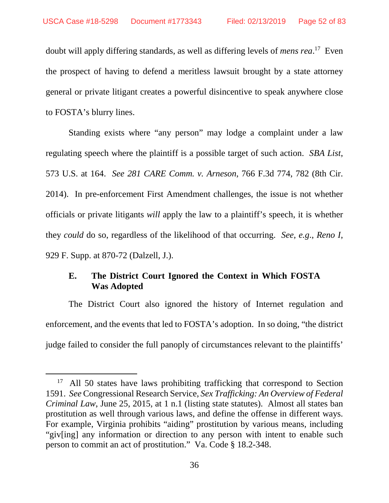doubt will apply differing standards, as well as differing levels of *mens rea*. <sup>17</sup> Even the prospect of having to defend a meritless lawsuit brought by a state attorney general or private litigant creates a powerful disincentive to speak anywhere close to FOSTA's blurry lines.

Standing exists where "any person" may lodge a complaint under a law regulating speech where the plaintiff is a possible target of such action. *SBA List*, 573 U.S. at 164. *See 281 CARE Comm. v. Arneson*, 766 F.3d 774, 782 (8th Cir. 2014). In pre-enforcement First Amendment challenges, the issue is not whether officials or private litigants *will* apply the law to a plaintiff's speech, it is whether they *could* do so, regardless of the likelihood of that occurring. *See*, *e.g*., *Reno I*, 929 F. Supp. at 870-72 (Dalzell, J.).

# **E. The District Court Ignored the Context in Which FOSTA Was Adopted**

The District Court also ignored the history of Internet regulation and enforcement, and the events that led to FOSTA's adoption. In so doing, "the district judge failed to consider the full panoply of circumstances relevant to the plaintiffs'

<sup>&</sup>lt;sup>17</sup> All 50 states have laws prohibiting trafficking that correspond to Section 1591. *See* Congressional Research Service, *Sex Trafficking: An Overview of Federal Criminal Law*, June 25, 2015, at 1 n.1 (listing state statutes). Almost all states ban prostitution as well through various laws, and define the offense in different ways. For example, Virginia prohibits "aiding" prostitution by various means, including "giv[ing] any information or direction to any person with intent to enable such person to commit an act of prostitution." Va. Code § 18.2-348.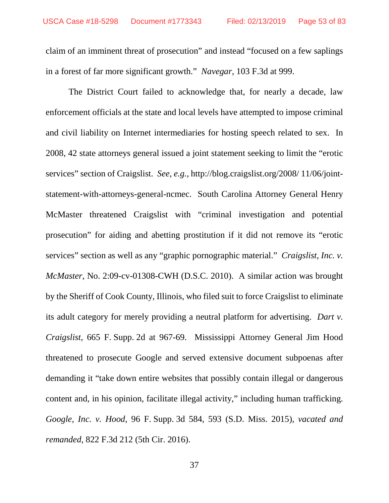claim of an imminent threat of prosecution" and instead "focused on a few saplings in a forest of far more significant growth." *Navegar*, 103 F.3d at 999.

The District Court failed to acknowledge that, for nearly a decade, law enforcement officials at the state and local levels have attempted to impose criminal and civil liability on Internet intermediaries for hosting speech related to sex. In 2008, 42 state attorneys general issued a joint statement seeking to limit the "erotic services" section of Craigslist. *See*, *e.g.*, http://blog.craigslist.org/2008/ 11/06/jointstatement-with-attorneys-general-ncmec. South Carolina Attorney General Henry McMaster threatened Craigslist with "criminal investigation and potential prosecution" for aiding and abetting prostitution if it did not remove its "erotic services" section as well as any "graphic pornographic material." *Craigslist, Inc. v. McMaster*, No. 2:09-cv-01308-CWH (D.S.C. 2010). A similar action was brought by the Sheriff of Cook County, Illinois, who filed suit to force Craigslist to eliminate its adult category for merely providing a neutral platform for advertising. *Dart v. Craigslist*, 665 F. Supp. 2d at 967-69. Mississippi Attorney General Jim Hood threatened to prosecute Google and served extensive document subpoenas after demanding it "take down entire websites that possibly contain illegal or dangerous content and, in his opinion, facilitate illegal activity," including human trafficking. *Google, Inc. v. Hood*, 96 F. Supp. 3d 584, 593 (S.D. Miss. 2015), *vacated and remanded*, 822 F.3d 212 (5th Cir. 2016).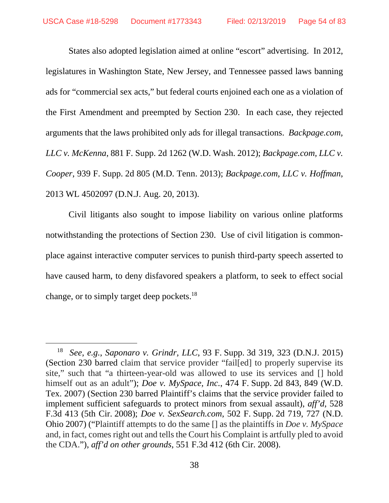States also adopted legislation aimed at online "escort" advertising. In 2012, legislatures in Washington State, New Jersey, and Tennessee passed laws banning ads for "commercial sex acts," but federal courts enjoined each one as a violation of the First Amendment and preempted by Section 230. In each case, they rejected arguments that the laws prohibited only ads for illegal transactions. *Backpage.com, LLC v. McKenna*, 881 F. Supp. 2d 1262 (W.D. Wash. 2012); *Backpage.com, LLC v. Cooper*, 939 F. Supp. 2d 805 (M.D. Tenn. 2013); *Backpage.com, LLC v. Hoffman*, 2013 WL 4502097 (D.N.J. Aug. 20, 2013).

Civil litigants also sought to impose liability on various online platforms notwithstanding the protections of Section 230. Use of civil litigation is commonplace against interactive computer services to punish third-party speech asserted to have caused harm, to deny disfavored speakers a platform, to seek to effect social change, or to simply target deep pockets.<sup>18</sup>

<sup>18</sup> *See*, *e.g.*, *Saponaro v. Grindr, LLC*, 93 F. Supp. 3d 319, 323 (D.N.J. 2015) (Section 230 barred claim that service provider "fail[ed] to properly supervise its site," such that "a thirteen-year-old was allowed to use its services and [] hold himself out as an adult"); *Doe v. MySpace, Inc.*, 474 F. Supp. 2d 843, 849 (W.D. Tex. 2007) (Section 230 barred Plaintiff's claims that the service provider failed to implement sufficient safeguards to protect minors from sexual assault), *aff'd*, 528 F.3d 413 (5th Cir. 2008); *Doe v. SexSearch.com*, 502 F. Supp. 2d 719, 727 (N.D. Ohio 2007) ("Plaintiff attempts to do the same [] as the plaintiffs in *Doe v. MySpace* and, in fact, comes right out and tells the Court his Complaint is artfully pled to avoid the CDA."), *aff'd on other grounds*, 551 F.3d 412 (6th Cir. 2008).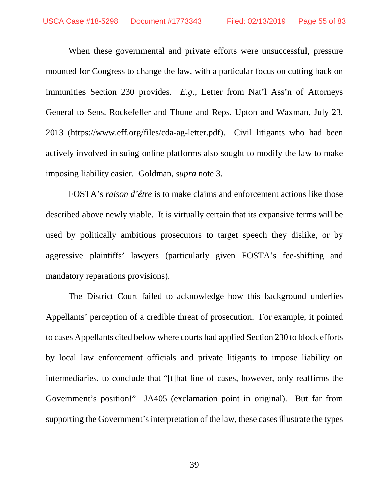When these governmental and private efforts were unsuccessful, pressure mounted for Congress to change the law, with a particular focus on cutting back on immunities Section 230 provides. *E.g*., Letter from Nat'l Ass'n of Attorneys General to Sens. Rockefeller and Thune and Reps. Upton and Waxman, July 23, 2013 (https://www.eff.org/files/cda-ag-letter.pdf). Civil litigants who had been actively involved in suing online platforms also sought to modify the law to make imposing liability easier. Goldman, *supra* note 3.

FOSTA's *raison d'être* is to make claims and enforcement actions like those described above newly viable. It is virtually certain that its expansive terms will be used by politically ambitious prosecutors to target speech they dislike, or by aggressive plaintiffs' lawyers (particularly given FOSTA's fee-shifting and mandatory reparations provisions).

The District Court failed to acknowledge how this background underlies Appellants' perception of a credible threat of prosecution. For example, it pointed to cases Appellants cited below where courts had applied Section 230 to block efforts by local law enforcement officials and private litigants to impose liability on intermediaries, to conclude that "[t]hat line of cases, however, only reaffirms the Government's position!" JA405 (exclamation point in original). But far from supporting the Government's interpretation of the law, these cases illustrate the types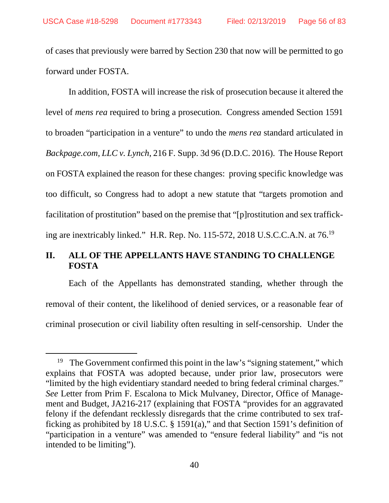of cases that previously were barred by Section 230 that now will be permitted to go forward under FOSTA.

In addition, FOSTA will increase the risk of prosecution because it altered the level of *mens rea* required to bring a prosecution. Congress amended Section 1591 to broaden "participation in a venture" to undo the *mens rea* standard articulated in *Backpage.com, LLC v. Lynch*, 216 F. Supp. 3d 96 (D.D.C. 2016). The House Report on FOSTA explained the reason for these changes: proving specific knowledge was too difficult, so Congress had to adopt a new statute that "targets promotion and facilitation of prostitution" based on the premise that "[p]rostitution and sex trafficking are inextricably linked." H.R. Rep. No. 115-572, 2018 U.S.C.C.A.N. at 76.<sup>19</sup>

# **II. ALL OF THE APPELLANTS HAVE STANDING TO CHALLENGE FOSTA**

Each of the Appellants has demonstrated standing, whether through the removal of their content, the likelihood of denied services, or a reasonable fear of criminal prosecution or civil liability often resulting in self-censorship. Under the

<sup>&</sup>lt;sup>19</sup> The Government confirmed this point in the law's "signing statement," which explains that FOSTA was adopted because, under prior law, prosecutors were "limited by the high evidentiary standard needed to bring federal criminal charges." *See* Letter from Prim F. Escalona to Mick Mulvaney, Director, Office of Management and Budget, JA216-217 (explaining that FOSTA "provides for an aggravated felony if the defendant recklessly disregards that the crime contributed to sex trafficking as prohibited by 18 U.S.C. § 1591(a)," and that Section 1591's definition of "participation in a venture" was amended to "ensure federal liability" and "is not intended to be limiting").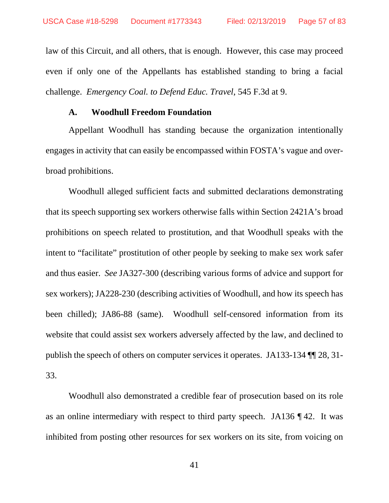law of this Circuit, and all others, that is enough. However, this case may proceed even if only one of the Appellants has established standing to bring a facial challenge. *Emergency Coal. to Defend Educ. Travel*, 545 F.3d at 9.

### **A. Woodhull Freedom Foundation**

Appellant Woodhull has standing because the organization intentionally engages in activity that can easily be encompassed within FOSTA's vague and overbroad prohibitions.

Woodhull alleged sufficient facts and submitted declarations demonstrating that its speech supporting sex workers otherwise falls within Section 2421A's broad prohibitions on speech related to prostitution, and that Woodhull speaks with the intent to "facilitate" prostitution of other people by seeking to make sex work safer and thus easier. *See* JA327-300 (describing various forms of advice and support for sex workers); JA228-230 (describing activities of Woodhull, and how its speech has been chilled); JA86-88 (same). Woodhull self-censored information from its website that could assist sex workers adversely affected by the law, and declined to publish the speech of others on computer services it operates. JA133-134 ¶¶ 28, 31- 33.

Woodhull also demonstrated a credible fear of prosecution based on its role as an online intermediary with respect to third party speech. JA136 ¶ 42. It was inhibited from posting other resources for sex workers on its site, from voicing on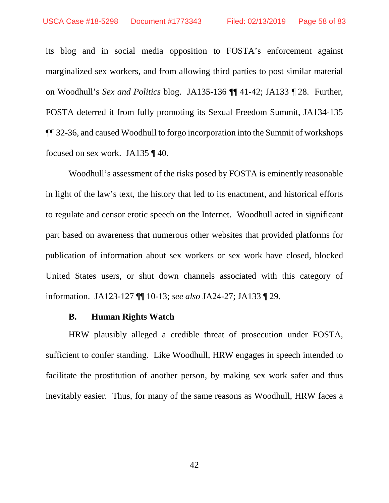its blog and in social media opposition to FOSTA's enforcement against marginalized sex workers, and from allowing third parties to post similar material on Woodhull's *Sex and Politics* blog. JA135-136 ¶¶ 41-42; JA133 ¶ 28. Further, FOSTA deterred it from fully promoting its Sexual Freedom Summit, JA134-135 ¶¶ 32-36, and caused Woodhull to forgo incorporation into the Summit of workshops focused on sex work. JA135 ¶ 40.

Woodhull's assessment of the risks posed by FOSTA is eminently reasonable in light of the law's text, the history that led to its enactment, and historical efforts to regulate and censor erotic speech on the Internet. Woodhull acted in significant part based on awareness that numerous other websites that provided platforms for publication of information about sex workers or sex work have closed, blocked United States users, or shut down channels associated with this category of information. JA123-127 ¶¶ 10-13; *see also* JA24-27; JA133 ¶ 29.

#### **B. Human Rights Watch**

HRW plausibly alleged a credible threat of prosecution under FOSTA, sufficient to confer standing. Like Woodhull, HRW engages in speech intended to facilitate the prostitution of another person, by making sex work safer and thus inevitably easier. Thus, for many of the same reasons as Woodhull, HRW faces a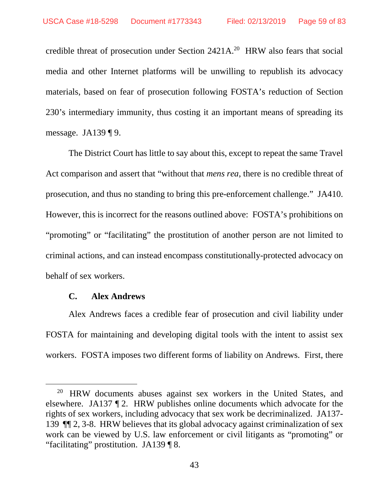credible threat of prosecution under Section  $2421A$ <sup>20</sup> HRW also fears that social media and other Internet platforms will be unwilling to republish its advocacy materials, based on fear of prosecution following FOSTA's reduction of Section 230's intermediary immunity, thus costing it an important means of spreading its message. JA139 ¶ 9.

The District Court has little to say about this, except to repeat the same Travel Act comparison and assert that "without that *mens rea*, there is no credible threat of prosecution, and thus no standing to bring this pre-enforcement challenge." JA410. However, this is incorrect for the reasons outlined above: FOSTA's prohibitions on "promoting" or "facilitating" the prostitution of another person are not limited to criminal actions, and can instead encompass constitutionally-protected advocacy on behalf of sex workers.

### **C. Alex Andrews**

Alex Andrews faces a credible fear of prosecution and civil liability under FOSTA for maintaining and developing digital tools with the intent to assist sex workers. FOSTA imposes two different forms of liability on Andrews. First, there

<sup>&</sup>lt;sup>20</sup> HRW documents abuses against sex workers in the United States, and elsewhere. JA137 ¶ 2. HRW publishes online documents which advocate for the rights of sex workers, including advocacy that sex work be decriminalized. JA137- 139 ¶¶ 2, 3-8. HRW believes that its global advocacy against criminalization of sex work can be viewed by U.S. law enforcement or civil litigants as "promoting" or "facilitating" prostitution. JA139 ¶ 8.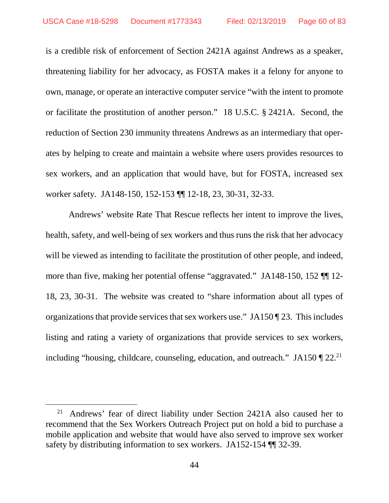is a credible risk of enforcement of Section 2421A against Andrews as a speaker, threatening liability for her advocacy, as FOSTA makes it a felony for anyone to own, manage, or operate an interactive computer service "with the intent to promote or facilitate the prostitution of another person." 18 U.S.C. § 2421A. Second, the reduction of Section 230 immunity threatens Andrews as an intermediary that operates by helping to create and maintain a website where users provides resources to sex workers, and an application that would have, but for FOSTA, increased sex worker safety. JA148-150, 152-153 ¶¶ 12-18, 23, 30-31, 32-33.

Andrews' website Rate That Rescue reflects her intent to improve the lives, health, safety, and well-being of sex workers and thus runs the risk that her advocacy will be viewed as intending to facilitate the prostitution of other people, and indeed, more than five, making her potential offense "aggravated." JA148-150, 152 ¶¶ 12- 18, 23, 30-31. The website was created to "share information about all types of organizations that provide services that sex workers use." JA150 ¶ 23. This includes listing and rating a variety of organizations that provide services to sex workers, including "housing, childcare, counseling, education, and outreach." JA150  $\P$  22.<sup>21</sup>

<sup>21</sup> Andrews' fear of direct liability under Section 2421A also caused her to recommend that the Sex Workers Outreach Project put on hold a bid to purchase a mobile application and website that would have also served to improve sex worker safety by distributing information to sex workers. JA152-154 ¶¶ 32-39.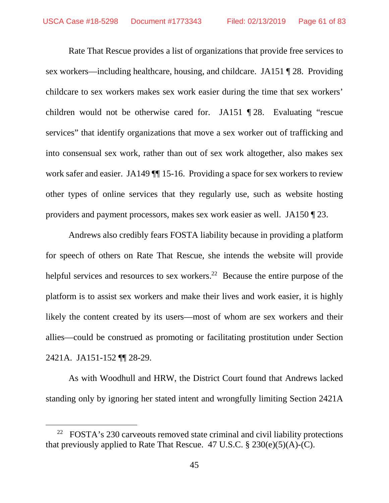Rate That Rescue provides a list of organizations that provide free services to sex workers—including healthcare, housing, and childcare. JA151 ¶ 28. Providing childcare to sex workers makes sex work easier during the time that sex workers' children would not be otherwise cared for. JA151 ¶ 28. Evaluating "rescue services" that identify organizations that move a sex worker out of trafficking and into consensual sex work, rather than out of sex work altogether, also makes sex work safer and easier. JA149  $\P$  15-16. Providing a space for sex workers to review other types of online services that they regularly use, such as website hosting providers and payment processors, makes sex work easier as well. JA150 ¶ 23.

Andrews also credibly fears FOSTA liability because in providing a platform for speech of others on Rate That Rescue, she intends the website will provide helpful services and resources to sex workers.<sup>22</sup> Because the entire purpose of the platform is to assist sex workers and make their lives and work easier, it is highly likely the content created by its users—most of whom are sex workers and their allies—could be construed as promoting or facilitating prostitution under Section 2421A. JA151-152 ¶¶ 28-29.

As with Woodhull and HRW, the District Court found that Andrews lacked standing only by ignoring her stated intent and wrongfully limiting Section 2421A

 $22$  FOSTA's 230 carveouts removed state criminal and civil liability protections that previously applied to Rate That Rescue. 47 U.S.C.  $\S 230(e)(5)(A)-(C)$ .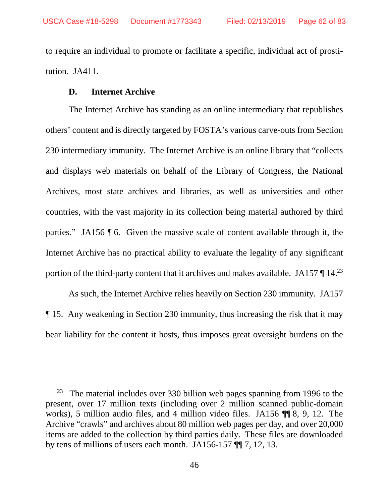to require an individual to promote or facilitate a specific, individual act of prostitution. JA411.

### **D. Internet Archive**

The Internet Archive has standing as an online intermediary that republishes others' content and is directly targeted by FOSTA's various carve-outs from Section 230 intermediary immunity. The Internet Archive is an online library that "collects and displays web materials on behalf of the Library of Congress, the National Archives, most state archives and libraries, as well as universities and other countries, with the vast majority in its collection being material authored by third parties." JA156 ¶ 6. Given the massive scale of content available through it, the Internet Archive has no practical ability to evaluate the legality of any significant portion of the third-party content that it archives and makes available. JA157 ¶ 14.<sup>23</sup>

As such, the Internet Archive relies heavily on Section 230 immunity. JA157 ¶ 15. Any weakening in Section 230 immunity, thus increasing the risk that it may bear liability for the content it hosts, thus imposes great oversight burdens on the

 $23$  The material includes over 330 billion web pages spanning from 1996 to the present, over 17 million texts (including over 2 million scanned public-domain works), 5 million audio files, and 4 million video files. JA156 ¶¶ 8, 9, 12. The Archive "crawls" and archives about 80 million web pages per day, and over 20,000 items are added to the collection by third parties daily. These files are downloaded by tens of millions of users each month. JA156-157 ¶¶ 7, 12, 13.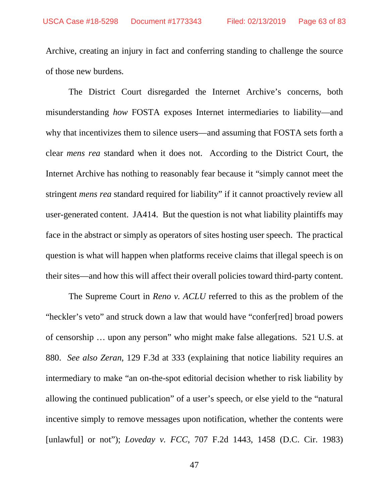Archive, creating an injury in fact and conferring standing to challenge the source of those new burdens.

The District Court disregarded the Internet Archive's concerns, both misunderstanding *how* FOSTA exposes Internet intermediaries to liability—and why that incentivizes them to silence users—and assuming that FOSTA sets forth a clear *mens rea* standard when it does not. According to the District Court, the Internet Archive has nothing to reasonably fear because it "simply cannot meet the stringent *mens rea* standard required for liability" if it cannot proactively review all user-generated content. JA414. But the question is not what liability plaintiffs may face in the abstract or simply as operators of sites hosting user speech. The practical question is what will happen when platforms receive claims that illegal speech is on their sites—and how this will affect their overall policies toward third-party content.

The Supreme Court in *Reno v. ACLU* referred to this as the problem of the "heckler's veto" and struck down a law that would have "confer[red] broad powers of censorship … upon any person" who might make false allegations. 521 U.S. at 880. *See also Zeran*, 129 F.3d at 333 (explaining that notice liability requires an intermediary to make "an on-the-spot editorial decision whether to risk liability by allowing the continued publication" of a user's speech, or else yield to the "natural incentive simply to remove messages upon notification, whether the contents were [unlawful] or not"); *Loveday v. FCC*, 707 F.2d 1443, 1458 (D.C. Cir. 1983)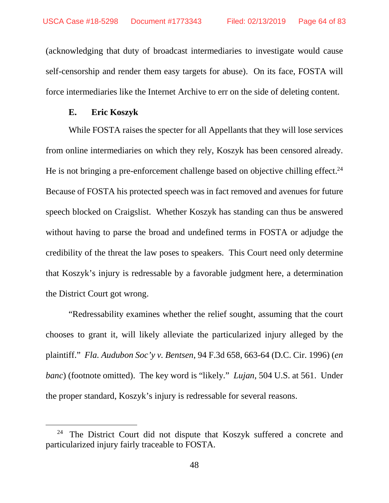(acknowledging that duty of broadcast intermediaries to investigate would cause self-censorship and render them easy targets for abuse). On its face, FOSTA will force intermediaries like the Internet Archive to err on the side of deleting content.

### **E. Eric Koszyk**

While FOSTA raises the specter for all Appellants that they will lose services from online intermediaries on which they rely, Koszyk has been censored already. He is not bringing a pre-enforcement challenge based on objective chilling effect.<sup>24</sup> Because of FOSTA his protected speech was in fact removed and avenues for future speech blocked on Craigslist. Whether Koszyk has standing can thus be answered without having to parse the broad and undefined terms in FOSTA or adjudge the credibility of the threat the law poses to speakers. This Court need only determine that Koszyk's injury is redressable by a favorable judgment here, a determination the District Court got wrong.

"Redressability examines whether the relief sought, assuming that the court chooses to grant it, will likely alleviate the particularized injury alleged by the plaintiff." *Fla. Audubon Soc'y v. Bentsen*, 94 F.3d 658, 663-64 (D.C. Cir. 1996) (*en banc*) (footnote omitted). The key word is "likely." *Lujan*, 504 U.S. at 561. Under the proper standard, Koszyk's injury is redressable for several reasons.

<sup>&</sup>lt;sup>24</sup> The District Court did not dispute that Koszyk suffered a concrete and particularized injury fairly traceable to FOSTA.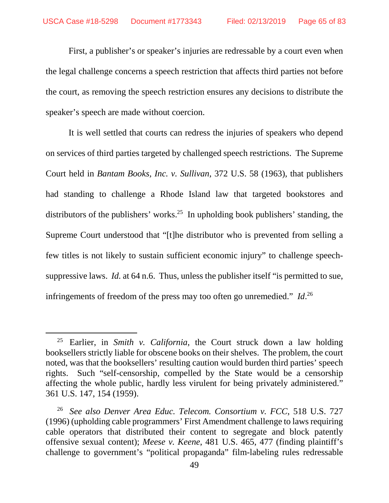First, a publisher's or speaker's injuries are redressable by a court even when the legal challenge concerns a speech restriction that affects third parties not before the court, as removing the speech restriction ensures any decisions to distribute the speaker's speech are made without coercion.

It is well settled that courts can redress the injuries of speakers who depend on services of third parties targeted by challenged speech restrictions. The Supreme Court held in *Bantam Books, Inc. v. Sullivan*, 372 U.S. 58 (1963), that publishers had standing to challenge a Rhode Island law that targeted bookstores and distributors of the publishers' works.<sup>25</sup> In upholding book publishers' standing, the Supreme Court understood that "[t]he distributor who is prevented from selling a few titles is not likely to sustain sufficient economic injury" to challenge speechsuppressive laws. *Id.* at 64 n.6. Thus, unless the publisher itself "is permitted to sue, infringements of freedom of the press may too often go unremedied." *Id*. 26

<sup>25</sup> Earlier, in *Smith v. California*, the Court struck down a law holding booksellers strictly liable for obscene books on their shelves. The problem, the court noted, was that the booksellers' resulting caution would burden third parties' speech rights. Such "self-censorship, compelled by the State would be a censorship affecting the whole public, hardly less virulent for being privately administered." 361 U.S. 147, 154 (1959).

<sup>26</sup> *See also Denver Area Educ. Telecom. Consortium v. FCC*, 518 U.S. 727 (1996) (upholding cable programmers' First Amendment challenge to laws requiring cable operators that distributed their content to segregate and block patently offensive sexual content); *Meese v. Keene*, 481 U.S. 465, 477 (finding plaintiff's challenge to government's "political propaganda" film-labeling rules redressable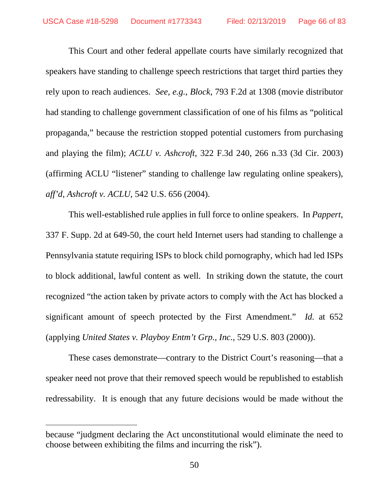This Court and other federal appellate courts have similarly recognized that speakers have standing to challenge speech restrictions that target third parties they rely upon to reach audiences. *See, e.g.*, *Block*, 793 F.2d at 1308 (movie distributor had standing to challenge government classification of one of his films as "political propaganda," because the restriction stopped potential customers from purchasing and playing the film); *ACLU v. Ashcroft*, 322 F.3d 240, 266 n.33 (3d Cir. 2003) (affirming ACLU "listener" standing to challenge law regulating online speakers), *aff'd*, *Ashcroft v. ACLU*, 542 U.S. 656 (2004).

This well-established rule applies in full force to online speakers. In *Pappert*, 337 F. Supp. 2d at 649-50, the court held Internet users had standing to challenge a Pennsylvania statute requiring ISPs to block child pornography, which had led ISPs to block additional, lawful content as well. In striking down the statute, the court recognized "the action taken by private actors to comply with the Act has blocked a significant amount of speech protected by the First Amendment." *Id.* at 652 (applying *United States v. Playboy Entm't Grp., Inc.*, 529 U.S. 803 (2000)).

These cases demonstrate—contrary to the District Court's reasoning—that a speaker need not prove that their removed speech would be republished to establish redressability. It is enough that any future decisions would be made without the

because "judgment declaring the Act unconstitutional would eliminate the need to choose between exhibiting the films and incurring the risk").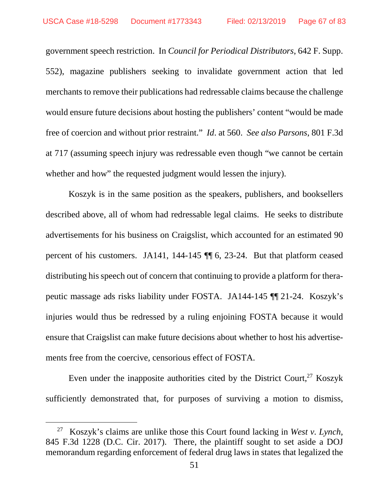government speech restriction. In *Council for Periodical Distributors*, 642 F. Supp. 552), magazine publishers seeking to invalidate government action that led merchants to remove their publications had redressable claims because the challenge would ensure future decisions about hosting the publishers' content "would be made free of coercion and without prior restraint." *Id*. at 560. *See also Parsons*, 801 F.3d at 717 (assuming speech injury was redressable even though "we cannot be certain whether and how" the requested judgment would lessen the injury).

Koszyk is in the same position as the speakers, publishers, and booksellers described above, all of whom had redressable legal claims. He seeks to distribute advertisements for his business on Craigslist, which accounted for an estimated 90 percent of his customers. JA141, 144-145 ¶¶ 6, 23-24. But that platform ceased distributing his speech out of concern that continuing to provide a platform for therapeutic massage ads risks liability under FOSTA. JA144-145 ¶¶ 21-24. Koszyk's injuries would thus be redressed by a ruling enjoining FOSTA because it would ensure that Craigslist can make future decisions about whether to host his advertisements free from the coercive, censorious effect of FOSTA.

Even under the inapposite authorities cited by the District Court, $27$  Koszyk sufficiently demonstrated that, for purposes of surviving a motion to dismiss,

<sup>27</sup> Koszyk's claims are unlike those this Court found lacking in *West v. Lynch*, 845 F.3d 1228 (D.C. Cir. 2017). There, the plaintiff sought to set aside a DOJ memorandum regarding enforcement of federal drug laws in states that legalized the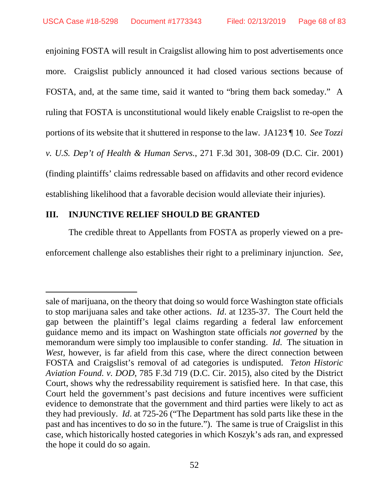enjoining FOSTA will result in Craigslist allowing him to post advertisements once more. Craigslist publicly announced it had closed various sections because of FOSTA, and, at the same time, said it wanted to "bring them back someday." A ruling that FOSTA is unconstitutional would likely enable Craigslist to re-open the portions of its website that it shuttered in response to the law. JA123 ¶ 10. *See Tozzi v. U.S. Dep't of Health & Human Servs.*, 271 F.3d 301, 308-09 (D.C. Cir. 2001) (finding plaintiffs' claims redressable based on affidavits and other record evidence establishing likelihood that a favorable decision would alleviate their injuries).

### **III. INJUNCTIVE RELIEF SHOULD BE GRANTED**

The credible threat to Appellants from FOSTA as properly viewed on a pre-

enforcement challenge also establishes their right to a preliminary injunction. *See*,

sale of marijuana, on the theory that doing so would force Washington state officials to stop marijuana sales and take other actions. *Id*. at 1235-37. The Court held the gap between the plaintiff's legal claims regarding a federal law enforcement guidance memo and its impact on Washington state officials *not governed* by the memorandum were simply too implausible to confer standing. *Id*. The situation in *West*, however, is far afield from this case, where the direct connection between FOSTA and Craigslist's removal of ad categories is undisputed. *Teton Historic Aviation Found. v. DOD*, 785 F.3d 719 (D.C. Cir. 2015), also cited by the District Court, shows why the redressability requirement is satisfied here. In that case, this Court held the government's past decisions and future incentives were sufficient evidence to demonstrate that the government and third parties were likely to act as they had previously. *Id*. at 725-26 ("The Department has sold parts like these in the past and has incentives to do so in the future."). The same is true of Craigslist in this case, which historically hosted categories in which Koszyk's ads ran, and expressed the hope it could do so again.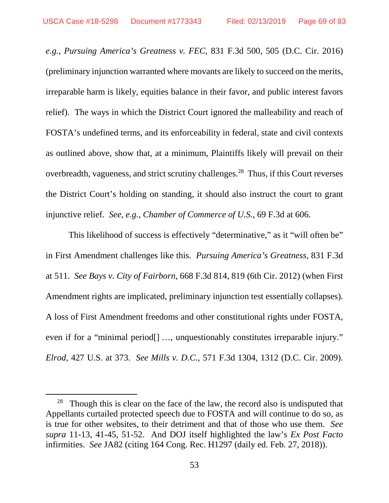*e.g.*, *Pursuing America's Greatness v. FEC*, 831 F.3d 500, 505 (D.C. Cir. 2016) (preliminary injunction warranted where movants are likely to succeed on the merits, irreparable harm is likely, equities balance in their favor, and public interest favors relief). The ways in which the District Court ignored the malleability and reach of FOSTA's undefined terms, and its enforceability in federal, state and civil contexts as outlined above, show that, at a minimum, Plaintiffs likely will prevail on their overbreadth, vagueness, and strict scrutiny challenges.<sup>28</sup> Thus, if this Court reverses the District Court's holding on standing, it should also instruct the court to grant injunctive relief. *See*, *e.g.*, *Chamber of Commerce of U.S.*, 69 F.3d at 606.

This likelihood of success is effectively "determinative," as it "will often be" in First Amendment challenges like this. *Pursuing America's Greatness*, 831 F.3d at 511. *See Bays v. City of Fairborn*, 668 F.3d 814, 819 (6th Cir. 2012) (when First Amendment rights are implicated, preliminary injunction test essentially collapses). A loss of First Amendment freedoms and other constitutional rights under FOSTA, even if for a "minimal period<sup>[]</sup> ..., unquestionably constitutes irreparable injury." *Elrod*, 427 U.S. at 373. *See Mills v. D.C.*, 571 F.3d 1304, 1312 (D.C. Cir. 2009).

<sup>&</sup>lt;sup>28</sup> Though this is clear on the face of the law, the record also is undisputed that Appellants curtailed protected speech due to FOSTA and will continue to do so, as is true for other websites, to their detriment and that of those who use them. *See supra* 11-13, 41-45, 51-52. And DOJ itself highlighted the law's *Ex Post Facto* infirmities. *See* JA82 (citing 164 Cong. Rec. H1297 (daily ed. Feb. 27, 2018)).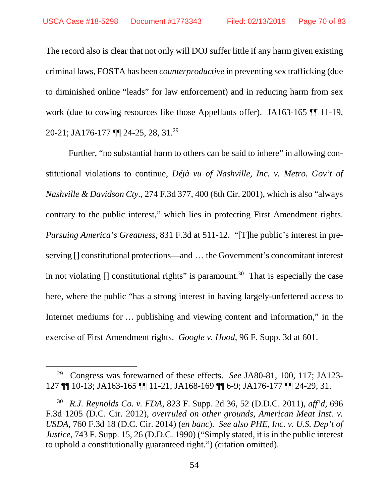The record also is clear that not only will DOJ suffer little if any harm given existing criminal laws, FOSTA has been *counterproductive* in preventing sex trafficking (due to diminished online "leads" for law enforcement) and in reducing harm from sex work (due to cowing resources like those Appellants offer). JA163-165 ¶¶ 11-19, 20-21; JA176-177 ¶¶ 24-25, 28, 31.<sup>29</sup>

Further, "no substantial harm to others can be said to inhere" in allowing constitutional violations to continue, *Déjà vu of Nashville, Inc. v. Metro. Gov't of Nashville & Davidson Cty.*, 274 F.3d 377, 400 (6th Cir. 2001), which is also "always contrary to the public interest," which lies in protecting First Amendment rights. *Pursuing America's Greatness*, 831 F.3d at 511-12. "[T]he public's interest in preserving [] constitutional protections—and … the Government's concomitant interest in not violating  $\Box$  constitutional rights" is paramount.<sup>30</sup> That is especially the case here, where the public "has a strong interest in having largely-unfettered access to Internet mediums for … publishing and viewing content and information," in the exercise of First Amendment rights. *Google v. Hood*, 96 F. Supp. 3d at 601.

<sup>29</sup> Congress was forewarned of these effects. *See* JA80-81, 100, 117; JA123- 127 ¶¶ 10-13; JA163-165 ¶¶ 11-21; JA168-169 ¶¶ 6-9; JA176-177 ¶¶ 24-29, 31.

<sup>30</sup> *R.J. Reynolds Co. v. FDA*, 823 F. Supp. 2d 36, 52 (D.D.C. 2011), *aff'd*, 696 F.3d 1205 (D.C. Cir. 2012), *overruled on other grounds*, *American Meat Inst. v. USDA*, 760 F.3d 18 (D.C. Cir. 2014) (*en banc*). *See also PHE, Inc. v. U.S. Dep't of Justice*, 743 F. Supp. 15, 26 (D.D.C. 1990) ("Simply stated, it is in the public interest to uphold a constitutionally guaranteed right.") (citation omitted).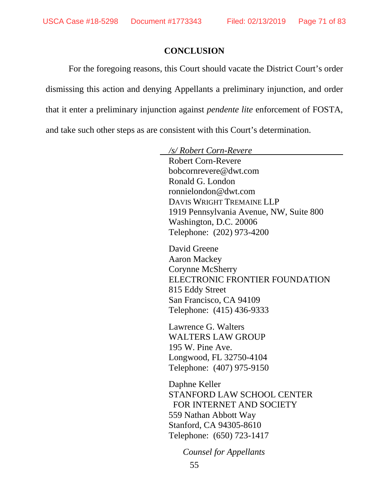### **CONCLUSION**

For the foregoing reasons, this Court should vacate the District Court's order dismissing this action and denying Appellants a preliminary injunction, and order that it enter a preliminary injunction against *pendente lite* enforcement of FOSTA, and take such other steps as are consistent with this Court's determination.

> */s/ Robert Corn-Revere*  Robert Corn-Revere bobcornrevere@dwt.com Ronald G. London ronnielondon@dwt.com DAVIS WRIGHT TREMAINE LLP 1919 Pennsylvania Avenue, NW, Suite 800 Washington, D.C. 20006 Telephone: (202) 973-4200 David Greene Aaron Mackey Corynne McSherry ELECTRONIC FRONTIER FOUNDATION 815 Eddy Street San Francisco, CA 94109 Telephone: (415) 436-9333 Lawrence G. Walters WALTERS LAW GROUP 195 W. Pine Ave. Longwood, FL 32750-4104 Telephone: (407) 975-9150 Daphne Keller STANFORD LAW SCHOOL CENTER FOR INTERNET AND SOCIETY 559 Nathan Abbott Way Stanford, CA 94305-8610 Telephone: (650) 723-1417

> > *Counsel for Appellants*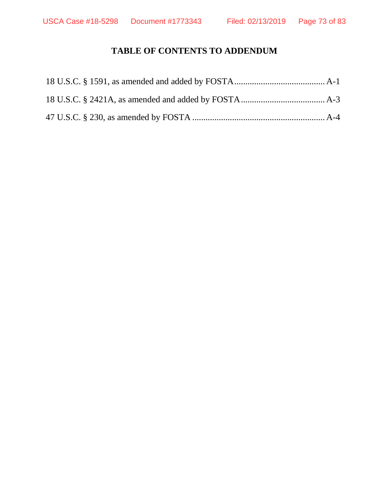# **TABLE OF CONTENTS TO ADDENDUM**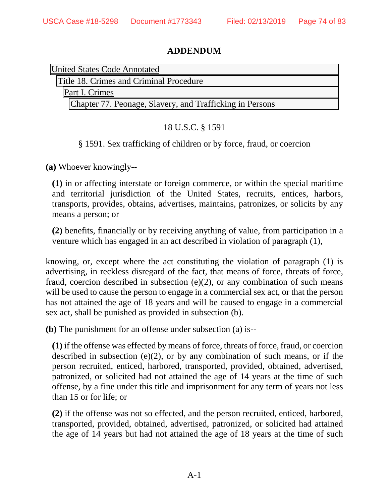### **ADDENDUM**

| United States Code Annotated                             |
|----------------------------------------------------------|
| Title 18. Crimes and Criminal Procedure                  |
| Part I. Crimes                                           |
| Chapter 77. Peonage, Slavery, and Trafficking in Persons |

## 18 U.S.C. § 1591

### § 1591. Sex trafficking of children or by force, fraud, or coercion

**(a)** Whoever knowingly--

**(1)** in or affecting interstate or foreign commerce, or within the special maritime and territorial jurisdiction of the United States, recruits, entices, harbors, transports, provides, obtains, advertises, maintains, patronizes, or solicits by any means a person; or

**(2)** benefits, financially or by receiving anything of value, from participation in a venture which has engaged in an act described in violation of paragraph (1),

knowing, or, except where the act constituting the violation of paragraph (1) is advertising, in reckless disregard of the fact, that means of force, threats of force, fraud, coercion described in subsection  $(e)(2)$ , or any combination of such means will be used to cause the person to engage in a commercial sex act, or that the person has not attained the age of 18 years and will be caused to engage in a commercial sex act, shall be punished as provided in subsection (b).

**(b)** The punishment for an offense under subsection (a) is--

**(1)** if the offense was effected by means of force, threats of force, fraud, or coercion described in subsection  $(e)(2)$ , or by any combination of such means, or if the person recruited, enticed, harbored, transported, provided, obtained, advertised, patronized, or solicited had not attained the age of 14 years at the time of such offense, by a fine under this title and imprisonment for any term of years not less than 15 or for life; or

**(2)** if the offense was not so effected, and the person recruited, enticed, harbored, transported, provided, obtained, advertised, patronized, or solicited had attained the age of 14 years but had not attained the age of 18 years at the time of such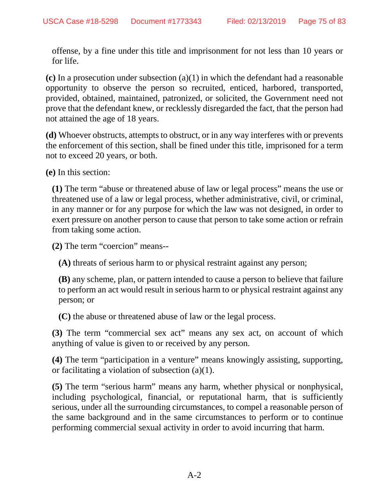offense, by a fine under this title and imprisonment for not less than 10 years or for life.

**(c)** In a prosecution under subsection (a)(1) in which the defendant had a reasonable opportunity to observe the person so recruited, enticed, harbored, transported, provided, obtained, maintained, patronized, or solicited, the Government need not prove that the defendant knew, or recklessly disregarded the fact, that the person had not attained the age of 18 years.

**(d)** Whoever obstructs, attempts to obstruct, or in any way interferes with or prevents the enforcement of this section, shall be fined under this title, imprisoned for a term not to exceed 20 years, or both.

**(e)** In this section:

**(1)** The term "abuse or threatened abuse of law or legal process" means the use or threatened use of a law or legal process, whether administrative, civil, or criminal, in any manner or for any purpose for which the law was not designed, in order to exert pressure on another person to cause that person to take some action or refrain from taking some action.

**(2)** The term "coercion" means--

**(A)** threats of serious harm to or physical restraint against any person;

**(B)** any scheme, plan, or pattern intended to cause a person to believe that failure to perform an act would result in serious harm to or physical restraint against any person; or

**(C)** the abuse or threatened abuse of law or the legal process.

**(3)** The term "commercial sex act" means any sex act, on account of which anything of value is given to or received by any person.

**(4)** The term "participation in a venture" means knowingly assisting, supporting, or facilitating a violation of subsection (a)(1).

**(5)** The term "serious harm" means any harm, whether physical or nonphysical, including psychological, financial, or reputational harm, that is sufficiently serious, under all the surrounding circumstances, to compel a reasonable person of the same background and in the same circumstances to perform or to continue performing commercial sexual activity in order to avoid incurring that harm.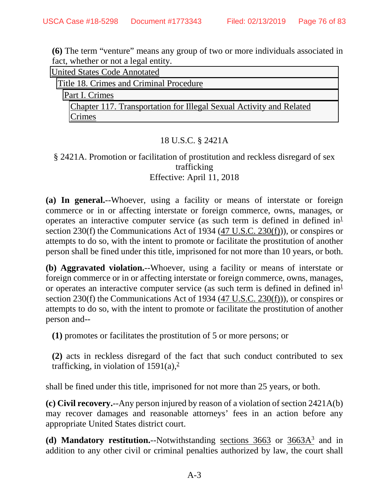**(6)** The term "venture" means any group of two or more individuals associated in fact, whether or not a legal entity.

| <b>United States Code Annotated</b> |                                                                     |
|-------------------------------------|---------------------------------------------------------------------|
|                                     | Title 18. Crimes and Criminal Procedure                             |
|                                     | Part I. Crimes                                                      |
|                                     | Chapter 117. Transportation for Illegal Sexual Activity and Related |
|                                     | Crimes                                                              |

## 18 U.S.C. § 2421A

### § 2421A. Promotion or facilitation of prostitution and reckless disregard of sex trafficking Effective: April 11, 2018

**(a) In general.**--Whoever, using a facility or means of interstate or foreign commerce or in or affecting interstate or foreign commerce, owns, manages, or operates an interactive computer service (as such term is defined in defined  $in^{\perp}$ section 230(f) the Communications Act of 1934 (47 U.S.C. 230(f))), or conspires or attempts to do so, with the intent to promote or facilitate the prostitution of another person shall be fined under this title, imprisoned for not more than 10 years, or both.

**(b) Aggravated violation.**--Whoever, using a facility or means of interstate or foreign commerce or in or affecting interstate or foreign commerce, owns, manages, or operates an interactive computer service (as such term is defined in defined  $in^1$ section 230(f) the Communications Act of 1934  $(47 \text{ U.S.C. } 230(\text{f})))$ , or conspires or attempts to do so, with the intent to promote or facilitate the prostitution of another person and--

**(1)** promotes or facilitates the prostitution of 5 or more persons; or

**(2)** acts in reckless disregard of the fact that such conduct contributed to sex trafficking, in violation of  $1591(a)$ ,<sup>2</sup>

shall be fined under this title, imprisoned for not more than 25 years, or both.

**(c) Civil recovery.**--Any person injured by reason of a violation of section 2421A(b) may recover damages and reasonable attorneys' fees in an action before any appropriate United States district court.

(d) **Mandatory restitution.**--Notwithstanding sections 3663 or 3663A<sup>3</sup> and in addition to any other civil or criminal penalties authorized by law, the court shall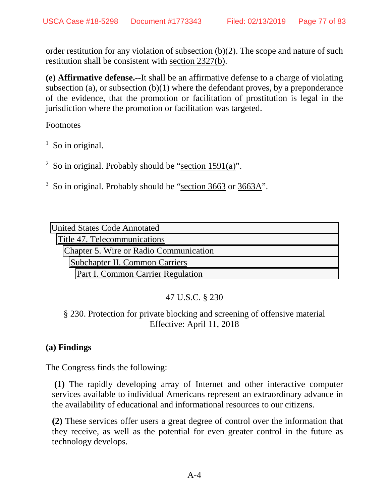order restitution for any violation of subsection (b)(2). The scope and nature of such restitution shall be consistent with section 2327(b).

**(e) Affirmative defense.**--It shall be an affirmative defense to a charge of violating subsection (a), or subsection  $(b)(1)$  where the defendant proves, by a preponderance of the evidence, that the promotion or facilitation of prostitution is legal in the jurisdiction where the promotion or facilitation was targeted.

**Footnotes** 

- $<sup>1</sup>$  So in original.</sup>
- <sup>2</sup> So in original. Probably should be "section 1591(a)".
- $3$  So in original. Probably should be "section 3663 or 3663A".

| <b>United States Code Annotated</b>    |  |
|----------------------------------------|--|
| Title 47. Telecommunications           |  |
| Chapter 5. Wire or Radio Communication |  |
| Subchapter II. Common Carriers         |  |
| Part I. Common Carrier Regulation      |  |

# 47 U.S.C. § 230

## § 230. Protection for private blocking and screening of offensive material Effective: April 11, 2018

## **(a) Findings**

The Congress finds the following:

 **(1)** The rapidly developing array of Internet and other interactive computer services available to individual Americans represent an extraordinary advance in the availability of educational and informational resources to our citizens.

**(2)** These services offer users a great degree of control over the information that they receive, as well as the potential for even greater control in the future as technology develops.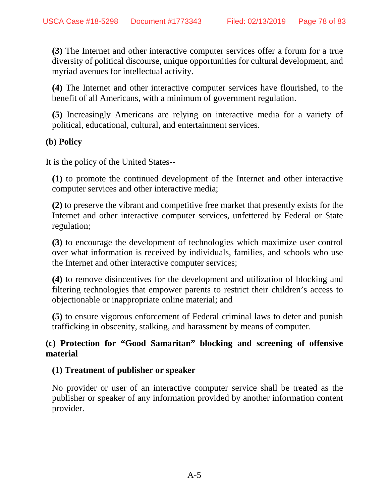**(3)** The Internet and other interactive computer services offer a forum for a true diversity of political discourse, unique opportunities for cultural development, and myriad avenues for intellectual activity.

**(4)** The Internet and other interactive computer services have flourished, to the benefit of all Americans, with a minimum of government regulation.

**(5)** Increasingly Americans are relying on interactive media for a variety of political, educational, cultural, and entertainment services.

### **(b) Policy**

It is the policy of the United States--

**(1)** to promote the continued development of the Internet and other interactive computer services and other interactive media;

**(2)** to preserve the vibrant and competitive free market that presently exists for the Internet and other interactive computer services, unfettered by Federal or State regulation;

**(3)** to encourage the development of technologies which maximize user control over what information is received by individuals, families, and schools who use the Internet and other interactive computer services;

**(4)** to remove disincentives for the development and utilization of blocking and filtering technologies that empower parents to restrict their children's access to objectionable or inappropriate online material; and

**(5)** to ensure vigorous enforcement of Federal criminal laws to deter and punish trafficking in obscenity, stalking, and harassment by means of computer.

### **(c) Protection for "Good Samaritan" blocking and screening of offensive material**

#### **(1) Treatment of publisher or speaker**

No provider or user of an interactive computer service shall be treated as the publisher or speaker of any information provided by another information content provider.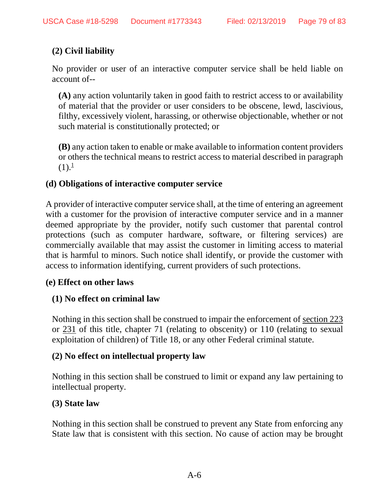# **(2) Civil liability**

No provider or user of an interactive computer service shall be held liable on account of--

**(A)** any action voluntarily taken in good faith to restrict access to or availability of material that the provider or user considers to be obscene, lewd, lascivious, filthy, excessively violent, harassing, or otherwise objectionable, whether or not such material is constitutionally protected; or

**(B)** any action taken to enable or make available to information content providers or others the technical means to restrict access to material described in paragraph  $(1).^1$ 

### **(d) Obligations of interactive computer service**

A provider of interactive computer service shall, at the time of entering an agreement with a customer for the provision of interactive computer service and in a manner deemed appropriate by the provider, notify such customer that parental control protections (such as computer hardware, software, or filtering services) are commercially available that may assist the customer in limiting access to material that is harmful to minors. Such notice shall identify, or provide the customer with access to information identifying, current providers of such protections.

#### **(e) Effect on other laws**

## **(1) No effect on criminal law**

Nothing in this section shall be construed to impair the enforcement of section 223 or 231 of this title, chapter 71 (relating to obscenity) or 110 (relating to sexual exploitation of children) of Title 18, or any other Federal criminal statute.

#### **(2) No effect on intellectual property law**

Nothing in this section shall be construed to limit or expand any law pertaining to intellectual property.

## **(3) State law**

Nothing in this section shall be construed to prevent any State from enforcing any State law that is consistent with this section. No cause of action may be brought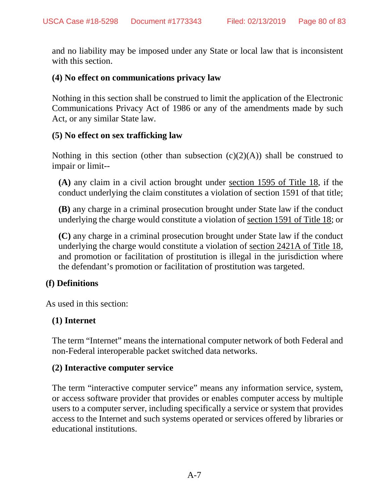and no liability may be imposed under any State or local law that is inconsistent with this section.

#### **(4) No effect on communications privacy law**

Nothing in this section shall be construed to limit the application of the Electronic Communications Privacy Act of 1986 or any of the amendments made by such Act, or any similar State law.

#### **(5) No effect on sex trafficking law**

Nothing in this section (other than subsection  $(c)(2)(A)$ ) shall be construed to impair or limit--

**(A)** any claim in a civil action brought under section 1595 of Title 18, if the conduct underlying the claim constitutes a violation of section 1591 of that title;

**(B)** any charge in a criminal prosecution brought under State law if the conduct underlying the charge would constitute a violation of section 1591 of Title 18; or

**(C)** any charge in a criminal prosecution brought under State law if the conduct underlying the charge would constitute a violation of section 2421A of Title 18, and promotion or facilitation of prostitution is illegal in the jurisdiction where the defendant's promotion or facilitation of prostitution was targeted.

#### **(f) Definitions**

As used in this section:

#### **(1) Internet**

The term "Internet" means the international computer network of both Federal and non-Federal interoperable packet switched data networks.

#### **(2) Interactive computer service**

The term "interactive computer service" means any information service, system, or access software provider that provides or enables computer access by multiple users to a computer server, including specifically a service or system that provides access to the Internet and such systems operated or services offered by libraries or educational institutions.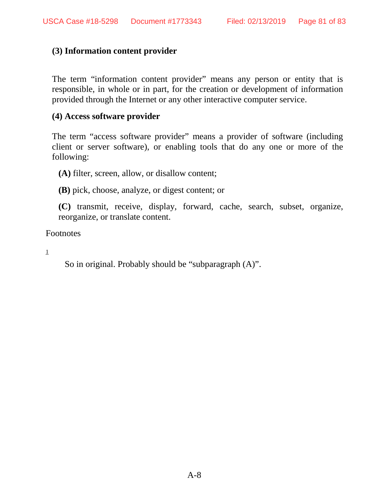#### **(3) Information content provider**

The term "information content provider" means any person or entity that is responsible, in whole or in part, for the creation or development of information provided through the Internet or any other interactive computer service.

#### **(4) Access software provider**

The term "access software provider" means a provider of software (including client or server software), or enabling tools that do any one or more of the following:

**(A)** filter, screen, allow, or disallow content;

**(B)** pick, choose, analyze, or digest content; or

**(C)** transmit, receive, display, forward, cache, search, subset, organize, reorganize, or translate content.

Footnotes

1

So in original. Probably should be "subparagraph (A)".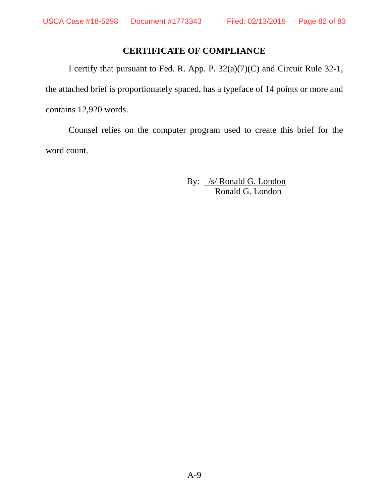## **CERTIFICATE OF COMPLIANCE**

I certify that pursuant to Fed. R. App. P. 32(a)(7)(C) and Circuit Rule 32-1, the attached brief is proportionately spaced, has a typeface of 14 points or more and contains 12,920 words.

Counsel relies on the computer program used to create this brief for the word count.

> By: /s/ Ronald G. London Ronald G. London